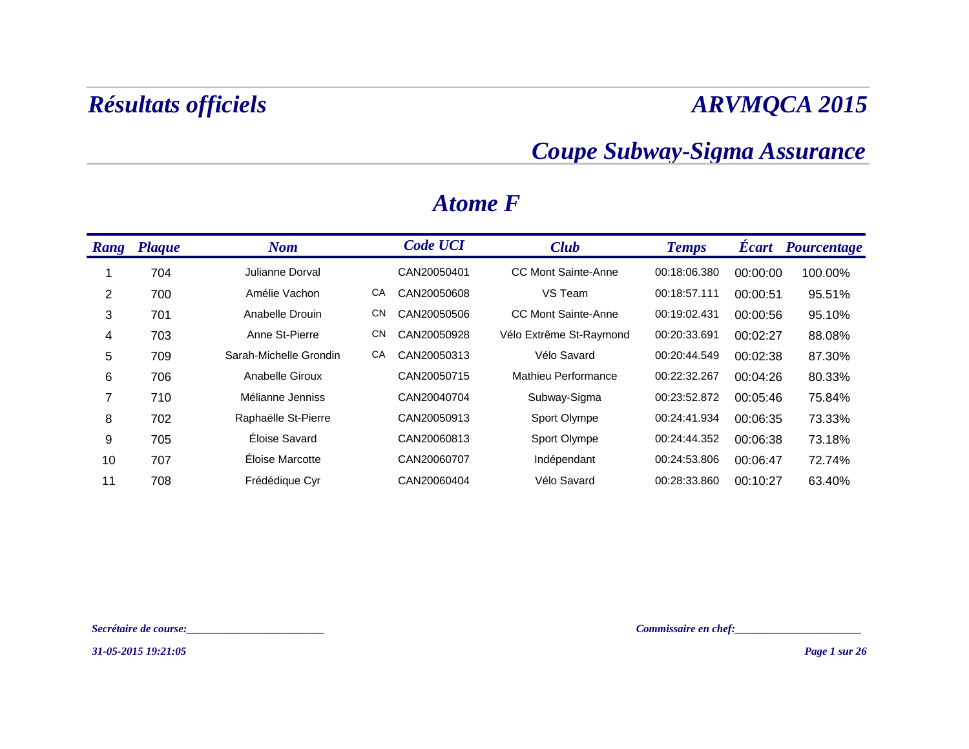### *Coupe Subway-Sigma Assurance*

| Rang | <b>Plaque</b> | <b>Nom</b>             |           | <b>Code UCI</b> | <b>Club</b>                | <b>Temps</b> | <b>Ecart</b> | <b>Pourcentage</b> |
|------|---------------|------------------------|-----------|-----------------|----------------------------|--------------|--------------|--------------------|
|      | 704           | Julianne Dorval        |           | CAN20050401     | <b>CC Mont Sainte-Anne</b> | 00:18:06.380 | 00:00:00     | 100.00%            |
| 2    | 700           | Amélie Vachon          | CA        | CAN20050608     | VS Team                    | 00:18:57.111 | 00:00:51     | 95.51%             |
| 3    | 701           | Anabelle Drouin        | <b>CN</b> | CAN20050506     | <b>CC Mont Sainte-Anne</b> | 00:19:02.431 | 00:00:56     | 95.10%             |
| 4    | 703           | Anne St-Pierre         | <b>CN</b> | CAN20050928     | Vélo Extrême St-Raymond    | 00:20:33.691 | 00:02:27     | 88.08%             |
| 5    | 709           | Sarah-Michelle Grondin | CA        | CAN20050313     | Vélo Savard                | 00:20:44.549 | 00:02:38     | 87.30%             |
| 6    | 706           | Anabelle Giroux        |           | CAN20050715     | Mathieu Performance        | 00:22:32.267 | 00:04:26     | 80.33%             |
| 7    | 710           | Mélianne Jenniss       |           | CAN20040704     | Subway-Sigma               | 00:23:52.872 | 00:05:46     | 75.84%             |
| 8    | 702           | Raphaëlle St-Pierre    |           | CAN20050913     | Sport Olympe               | 00:24:41.934 | 00:06:35     | 73.33%             |
| 9    | 705           | Éloise Savard          |           | CAN20060813     | Sport Olympe               | 00:24:44.352 | 00:06:38     | 73.18%             |
| 10   | 707           | Éloise Marcotte        |           | CAN20060707     | Indépendant                | 00:24:53.806 | 00:06:47     | 72.74%             |
| 11   | 708           | Frédédique Cyr         |           | CAN20060404     | Vélo Savard                | 00:28:33.860 | 00:10:27     | 63.40%             |

### *Atome F*

*Secrétaire de course:\_\_\_\_\_\_\_\_\_\_\_\_\_\_\_\_\_\_\_\_\_\_\_\_\_ Commissaire en chef:\_\_\_\_\_\_\_\_\_\_\_\_\_\_\_\_\_\_\_\_\_\_\_*

*31-05-2015 19:21:05*

*Page 1 sur 26*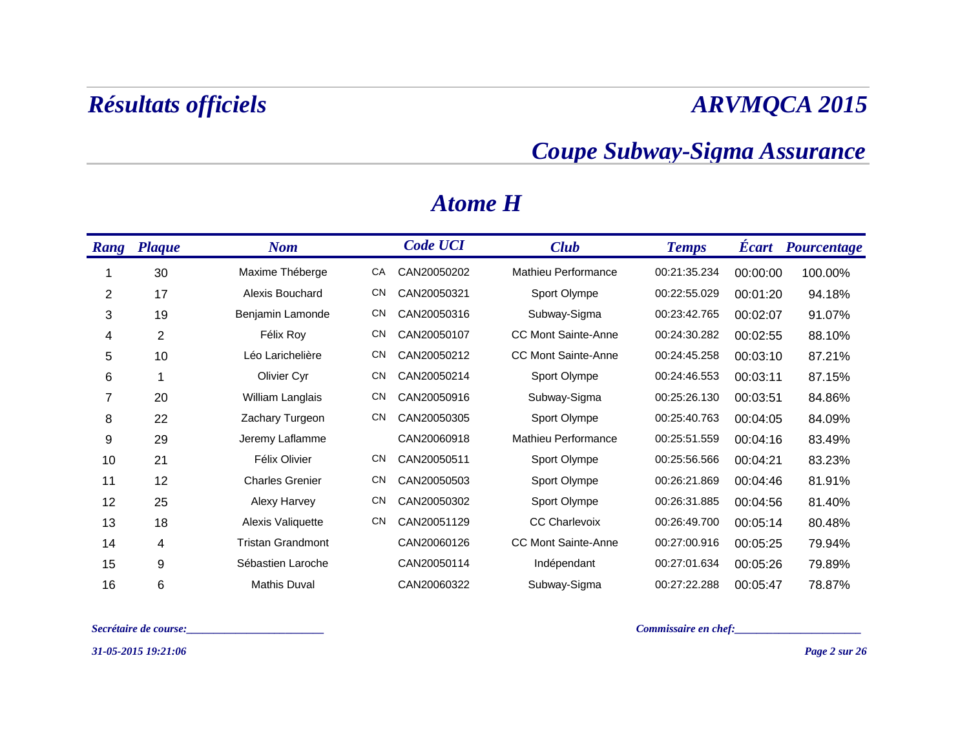### *Coupe Subway-Sigma Assurance*

| <b>Rang</b> | <b>Plaque</b> | <b>Nom</b>               |           | <b>Code UCI</b> | <b>Club</b>                | <b>Temps</b> | <b>Ecart</b> | <b>Pourcentage</b> |
|-------------|---------------|--------------------------|-----------|-----------------|----------------------------|--------------|--------------|--------------------|
|             | 30            | Maxime Théberge          | СA        | CAN20050202     | Mathieu Performance        | 00:21:35.234 | 00:00:00     | 100.00%            |
| 2           | 17            | Alexis Bouchard          | <b>CN</b> | CAN20050321     | Sport Olympe               | 00:22:55.029 | 00:01:20     | 94.18%             |
| 3           | 19            | Benjamin Lamonde         | <b>CN</b> | CAN20050316     | Subway-Sigma               | 00:23:42.765 | 00:02:07     | 91.07%             |
| 4           | 2             | Félix Roy                | <b>CN</b> | CAN20050107     | <b>CC Mont Sainte-Anne</b> | 00:24:30.282 | 00:02:55     | 88.10%             |
| 5           | 10            | Léo Larichelière         | <b>CN</b> | CAN20050212     | <b>CC Mont Sainte-Anne</b> | 00:24:45.258 | 00:03:10     | 87.21%             |
| 6           | 1             | Olivier Cyr              | <b>CN</b> | CAN20050214     | Sport Olympe               | 00:24:46.553 | 00:03:11     | 87.15%             |
| 7           | 20            | William Langlais         | <b>CN</b> | CAN20050916     | Subway-Sigma               | 00:25:26.130 | 00:03:51     | 84.86%             |
| 8           | 22            | Zachary Turgeon          | <b>CN</b> | CAN20050305     | Sport Olympe               | 00:25:40.763 | 00:04:05     | 84.09%             |
| 9           | 29            | Jeremy Laflamme          |           | CAN20060918     | Mathieu Performance        | 00:25:51.559 | 00:04:16     | 83.49%             |
| 10          | 21            | Félix Olivier            | <b>CN</b> | CAN20050511     | Sport Olympe               | 00:25:56.566 | 00:04:21     | 83.23%             |
| 11          | 12            | <b>Charles Grenier</b>   | <b>CN</b> | CAN20050503     | Sport Olympe               | 00:26:21.869 | 00:04:46     | 81.91%             |
| 12          | 25            | Alexy Harvey             | <b>CN</b> | CAN20050302     | Sport Olympe               | 00:26:31.885 | 00:04:56     | 81.40%             |
| 13          | 18            | Alexis Valiquette        | <b>CN</b> | CAN20051129     | <b>CC Charlevoix</b>       | 00:26:49.700 | 00:05:14     | 80.48%             |
| 14          | 4             | <b>Tristan Grandmont</b> |           | CAN20060126     | CC Mont Sainte-Anne        | 00:27:00.916 | 00:05:25     | 79.94%             |
| 15          | 9             | Sébastien Laroche        |           | CAN20050114     | Indépendant                | 00:27:01.634 | 00:05:26     | 79.89%             |
| 16          | 6             | Mathis Duval             |           | CAN20060322     | Subway-Sigma               | 00:27:22.288 | 00:05:47     | 78.87%             |

### *Atome H*

*Secrétaire de course:\_\_\_\_\_\_\_\_\_\_\_\_\_\_\_\_\_\_\_\_\_\_\_\_\_ Commissaire en chef:\_\_\_\_\_\_\_\_\_\_\_\_\_\_\_\_\_\_\_\_\_\_\_*

*31-05-2015 19:21:06*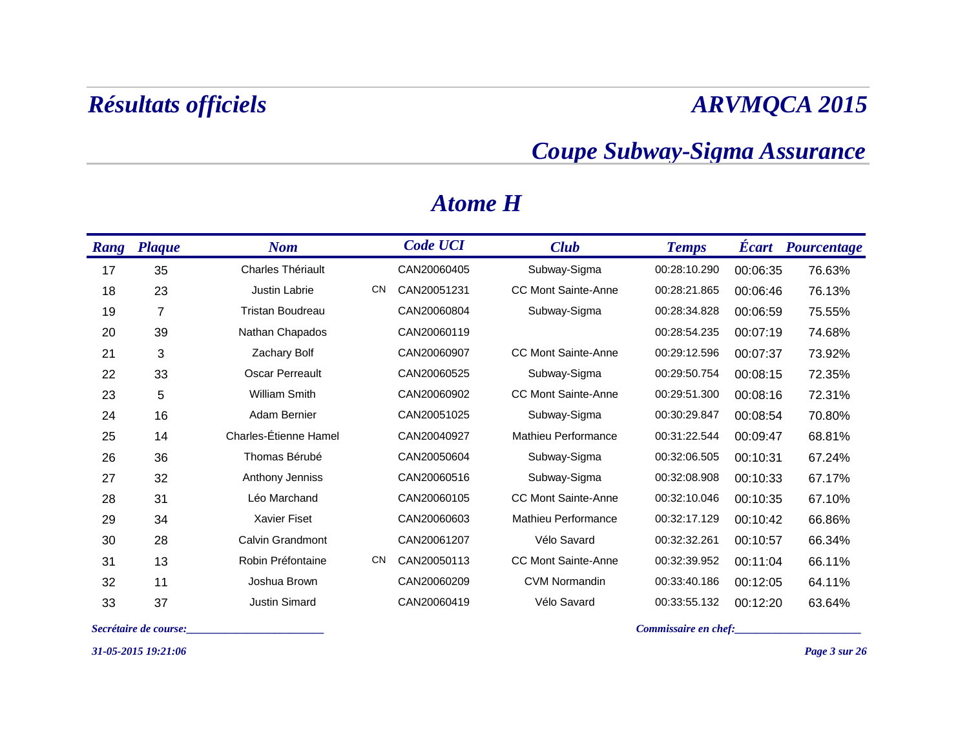### *Coupe Subway-Sigma Assurance*

| <b>Rang</b> | <b>Plaque</b>  | <b>Nom</b>               |           | <b>Code UCI</b> | <b>Club</b>                | <b>Temps</b> | <b>Ecart</b> | <b>Pourcentage</b> |
|-------------|----------------|--------------------------|-----------|-----------------|----------------------------|--------------|--------------|--------------------|
| 17          | 35             | <b>Charles Thériault</b> |           | CAN20060405     | Subway-Sigma               | 00:28:10.290 | 00:06:35     | 76.63%             |
| 18          | 23             | <b>Justin Labrie</b>     | <b>CN</b> | CAN20051231     | <b>CC Mont Sainte-Anne</b> | 00:28:21.865 | 00:06:46     | 76.13%             |
| 19          | $\overline{7}$ | <b>Tristan Boudreau</b>  |           | CAN20060804     | Subway-Sigma               | 00:28:34.828 | 00:06:59     | 75.55%             |
| 20          | 39             | Nathan Chapados          |           | CAN20060119     |                            | 00:28:54.235 | 00:07:19     | 74.68%             |
| 21          | 3              | Zachary Bolf             |           | CAN20060907     | <b>CC Mont Sainte-Anne</b> | 00:29:12.596 | 00:07:37     | 73.92%             |
| 22          | 33             | <b>Oscar Perreault</b>   |           | CAN20060525     | Subway-Sigma               | 00:29:50.754 | 00:08:15     | 72.35%             |
| 23          | 5              | <b>William Smith</b>     |           | CAN20060902     | <b>CC Mont Sainte-Anne</b> | 00:29:51.300 | 00:08:16     | 72.31%             |
| 24          | 16             | Adam Bernier             |           | CAN20051025     | Subway-Sigma               | 00:30:29.847 | 00:08:54     | 70.80%             |
| 25          | 14             | Charles-Étienne Hamel    |           | CAN20040927     | Mathieu Performance        | 00:31:22.544 | 00:09:47     | 68.81%             |
| 26          | 36             | Thomas Bérubé            |           | CAN20050604     | Subway-Sigma               | 00:32:06.505 | 00:10:31     | 67.24%             |
| 27          | 32             | Anthony Jenniss          |           | CAN20060516     | Subway-Sigma               | 00:32:08.908 | 00:10:33     | 67.17%             |
| 28          | 31             | Léo Marchand             |           | CAN20060105     | <b>CC Mont Sainte-Anne</b> | 00:32:10.046 | 00:10:35     | 67.10%             |
| 29          | 34             | <b>Xavier Fiset</b>      |           | CAN20060603     | <b>Mathieu Performance</b> | 00:32:17.129 | 00:10:42     | 66.86%             |
| 30          | 28             | Calvin Grandmont         |           | CAN20061207     | Vélo Savard                | 00:32:32.261 | 00:10:57     | 66.34%             |
| 31          | 13             | Robin Préfontaine        | <b>CN</b> | CAN20050113     | <b>CC Mont Sainte-Anne</b> | 00:32:39.952 | 00:11:04     | 66.11%             |
| 32          | 11             | Joshua Brown             |           | CAN20060209     | <b>CVM Normandin</b>       | 00:33:40.186 | 00:12:05     | 64.11%             |
| 33          | 37             | <b>Justin Simard</b>     |           | CAN20060419     | Vélo Savard                | 00:33:55.132 | 00:12:20     | 63.64%             |

### *Atome H*

*31-05-2015 19:21:06*

*Secrétaire de course:\_\_\_\_\_\_\_\_\_\_\_\_\_\_\_\_\_\_\_\_\_\_\_\_\_ Commissaire en chef:\_\_\_\_\_\_\_\_\_\_\_\_\_\_\_\_\_\_\_\_\_\_\_*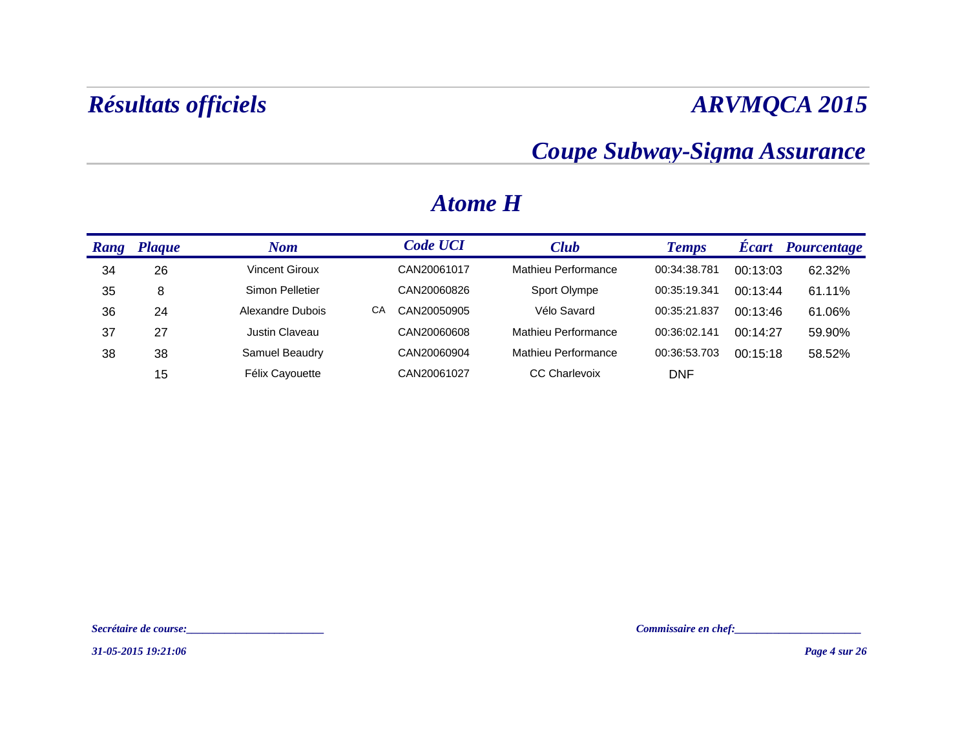### *Coupe Subway-Sigma Assurance*

| Rang | Plaque | Nom              | <b>Code UCI</b>   | <b>Club</b>          | <b>Temps</b> | <b>Écart</b> | <b>Pourcentage</b> |
|------|--------|------------------|-------------------|----------------------|--------------|--------------|--------------------|
| 34   | 26     | Vincent Giroux   | CAN20061017       | Mathieu Performance  | 00:34:38.781 | 00:13:03     | 62.32%             |
| 35   | 8      | Simon Pelletier  | CAN20060826       | Sport Olympe         | 00:35:19.341 | 00:13:44     | 61.11%             |
| 36   | 24     | Alexandre Dubois | СA<br>CAN20050905 | Vélo Savard          | 00:35:21.837 | 00:13:46     | 61.06%             |
| 37   | 27     | Justin Claveau   | CAN20060608       | Mathieu Performance  | 00:36:02.141 | 00:14:27     | 59.90%             |
| 38   | 38     | Samuel Beaudry   | CAN20060904       | Mathieu Performance  | 00:36:53.703 | 00:15:18     | 58.52%             |
|      | 15     | Félix Cayouette  | CAN20061027       | <b>CC Charlevoix</b> | <b>DNF</b>   |              |                    |

### *Atome H*

*Secrétaire de course:\_\_\_\_\_\_\_\_\_\_\_\_\_\_\_\_\_\_\_\_\_\_\_\_\_ Commissaire en chef:\_\_\_\_\_\_\_\_\_\_\_\_\_\_\_\_\_\_\_\_\_\_\_*

*31-05-2015 19:21:06*

*Page 4 sur 26*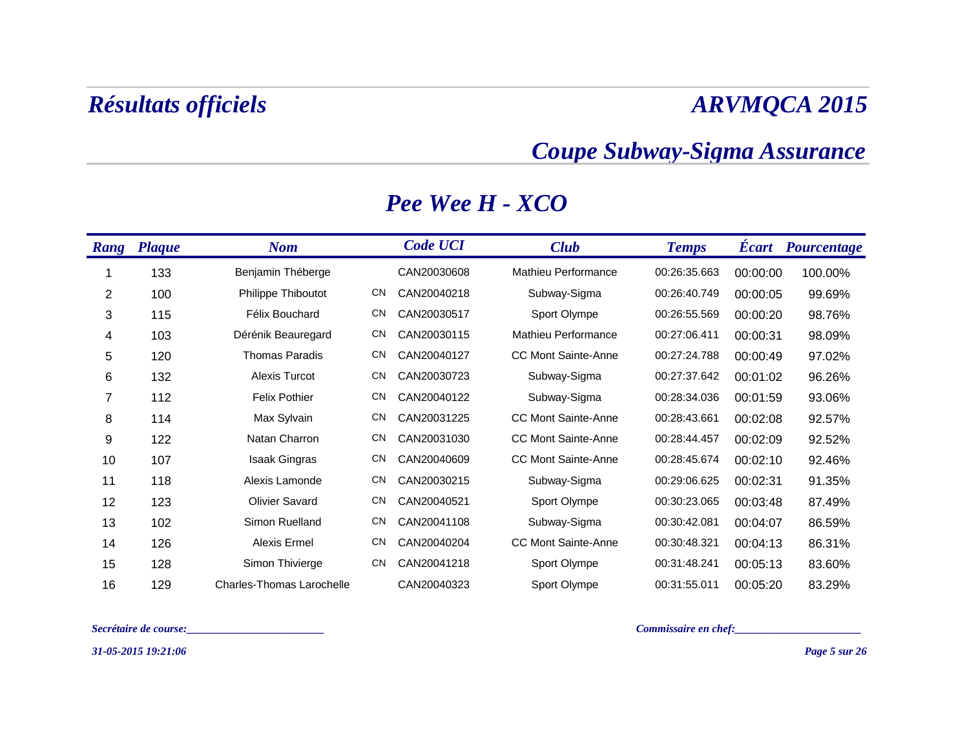### *Coupe Subway-Sigma Assurance*

| <b>Rang</b> | <b>Plaque</b> | <b>Nom</b>                       |           | <b>Code UCI</b> | <b>Club</b>                | <b>Temps</b> | <b>Ecart</b> | <b>Pourcentage</b> |
|-------------|---------------|----------------------------------|-----------|-----------------|----------------------------|--------------|--------------|--------------------|
|             | 133           | Benjamin Théberge                |           | CAN20030608     | Mathieu Performance        | 00:26:35.663 | 00:00:00     | 100.00%            |
| 2           | 100           | Philippe Thiboutot               | <b>CN</b> | CAN20040218     | Subway-Sigma               | 00:26:40.749 | 00:00:05     | 99.69%             |
| 3           | 115           | Félix Bouchard                   | <b>CN</b> | CAN20030517     | Sport Olympe               | 00:26:55.569 | 00:00:20     | 98.76%             |
| 4           | 103           | Dérénik Beauregard               | <b>CN</b> | CAN20030115     | Mathieu Performance        | 00:27:06.411 | 00:00:31     | 98.09%             |
| 5           | 120           | <b>Thomas Paradis</b>            | <b>CN</b> | CAN20040127     | <b>CC Mont Sainte-Anne</b> | 00:27:24.788 | 00:00:49     | 97.02%             |
| 6           | 132           | Alexis Turcot                    | <b>CN</b> | CAN20030723     | Subway-Sigma               | 00:27:37.642 | 00:01:02     | 96.26%             |
| 7           | 112           | <b>Felix Pothier</b>             | <b>CN</b> | CAN20040122     | Subway-Sigma               | 00:28:34.036 | 00:01:59     | 93.06%             |
| 8           | 114           | Max Sylvain                      | <b>CN</b> | CAN20031225     | <b>CC Mont Sainte-Anne</b> | 00:28:43.661 | 00:02:08     | 92.57%             |
| 9           | 122           | Natan Charron                    | <b>CN</b> | CAN20031030     | <b>CC Mont Sainte-Anne</b> | 00:28:44.457 | 00:02:09     | 92.52%             |
| 10          | 107           | <b>Isaak Gingras</b>             | <b>CN</b> | CAN20040609     | <b>CC Mont Sainte-Anne</b> | 00:28:45.674 | 00:02:10     | 92.46%             |
| 11          | 118           | Alexis Lamonde                   | <b>CN</b> | CAN20030215     | Subway-Sigma               | 00:29:06.625 | 00:02:31     | 91.35%             |
| 12          | 123           | <b>Olivier Savard</b>            | <b>CN</b> | CAN20040521     | Sport Olympe               | 00:30:23.065 | 00:03:48     | 87.49%             |
| 13          | 102           | Simon Ruelland                   | <b>CN</b> | CAN20041108     | Subway-Sigma               | 00:30:42.081 | 00:04:07     | 86.59%             |
| 14          | 126           | Alexis Ermel                     | <b>CN</b> | CAN20040204     | <b>CC Mont Sainte-Anne</b> | 00:30:48.321 | 00:04:13     | 86.31%             |
| 15          | 128           | Simon Thivierge                  | <b>CN</b> | CAN20041218     | Sport Olympe               | 00:31:48.241 | 00:05:13     | 83.60%             |
| 16          | 129           | <b>Charles-Thomas Larochelle</b> |           | CAN20040323     | Sport Olympe               | 00:31:55.011 | 00:05:20     | 83.29%             |

### *Pee Wee H - XCO*

*Secrétaire de course:\_\_\_\_\_\_\_\_\_\_\_\_\_\_\_\_\_\_\_\_\_\_\_\_\_ Commissaire en chef:\_\_\_\_\_\_\_\_\_\_\_\_\_\_\_\_\_\_\_\_\_\_\_*

*31-05-2015 19:21:06*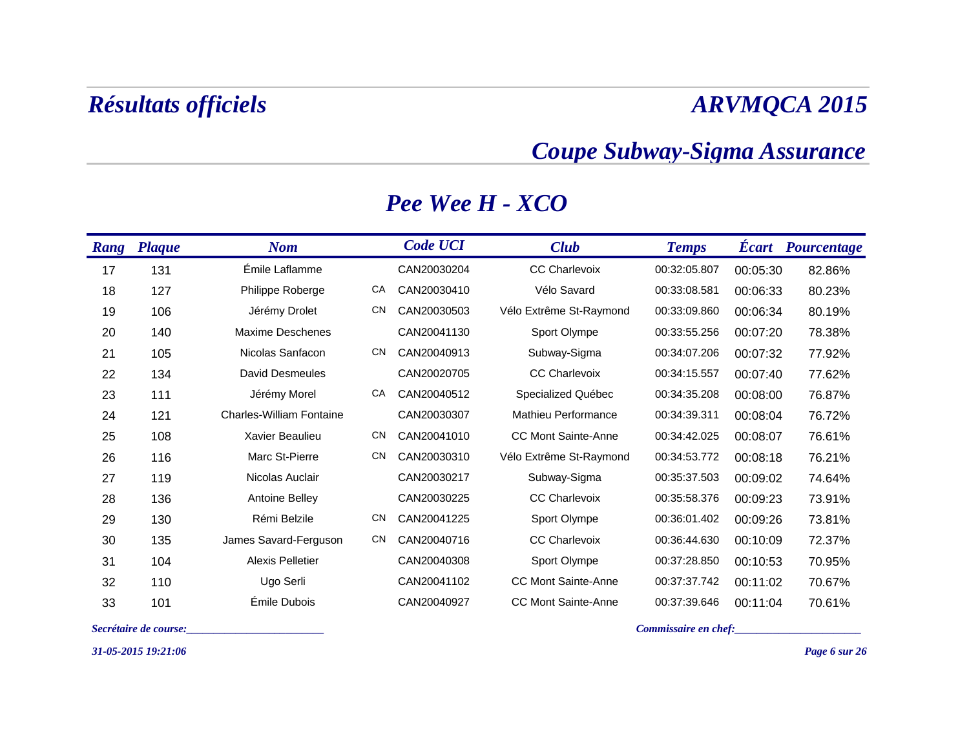### *Coupe Subway-Sigma Assurance*

| <b>Rang</b> | <b>Plaque</b> | <b>Nom</b>                      |           | <b>Code UCI</b> | <b>Club</b>                | <b>Temps</b> | <b>Ecart</b> | Pourcentage |
|-------------|---------------|---------------------------------|-----------|-----------------|----------------------------|--------------|--------------|-------------|
| 17          | 131           | Émile Laflamme                  |           | CAN20030204     | <b>CC Charlevoix</b>       | 00:32:05.807 | 00:05:30     | 82.86%      |
| 18          | 127           | Philippe Roberge                | CA        | CAN20030410     | Vélo Savard                | 00:33:08.581 | 00:06:33     | 80.23%      |
| 19          | 106           | Jérémy Drolet                   | <b>CN</b> | CAN20030503     | Vélo Extrême St-Raymond    | 00:33:09.860 | 00:06:34     | 80.19%      |
| 20          | 140           | Maxime Deschenes                |           | CAN20041130     | Sport Olympe               | 00:33:55.256 | 00:07:20     | 78.38%      |
| 21          | 105           | Nicolas Sanfacon                | <b>CN</b> | CAN20040913     | Subway-Sigma               | 00:34:07.206 | 00:07:32     | 77.92%      |
| 22          | 134           | David Desmeules                 |           | CAN20020705     | <b>CC Charlevoix</b>       | 00:34:15.557 | 00:07:40     | 77.62%      |
| 23          | 111           | Jérémy Morel                    | CA        | CAN20040512     | Specialized Québec         | 00:34:35.208 | 00:08:00     | 76.87%      |
| 24          | 121           | <b>Charles-William Fontaine</b> |           | CAN20030307     | Mathieu Performance        | 00:34:39.311 | 00:08:04     | 76.72%      |
| 25          | 108           | Xavier Beaulieu                 | <b>CN</b> | CAN20041010     | <b>CC Mont Sainte-Anne</b> | 00:34:42.025 | 00:08:07     | 76.61%      |
| 26          | 116           | Marc St-Pierre                  | <b>CN</b> | CAN20030310     | Vélo Extrême St-Raymond    | 00:34:53.772 | 00:08:18     | 76.21%      |
| 27          | 119           | Nicolas Auclair                 |           | CAN20030217     | Subway-Sigma               | 00:35:37.503 | 00:09:02     | 74.64%      |
| 28          | 136           | <b>Antoine Belley</b>           |           | CAN20030225     | <b>CC Charlevoix</b>       | 00:35:58.376 | 00:09:23     | 73.91%      |
| 29          | 130           | Rémi Belzile                    | <b>CN</b> | CAN20041225     | Sport Olympe               | 00:36:01.402 | 00:09:26     | 73.81%      |
| 30          | 135           | James Savard-Ferguson           | <b>CN</b> | CAN20040716     | <b>CC Charlevoix</b>       | 00:36:44.630 | 00:10:09     | 72.37%      |
| 31          | 104           | <b>Alexis Pelletier</b>         |           | CAN20040308     | Sport Olympe               | 00:37:28.850 | 00:10:53     | 70.95%      |
| 32          | 110           | Ugo Serli                       |           | CAN20041102     | <b>CC Mont Sainte-Anne</b> | 00:37:37.742 | 00:11:02     | 70.67%      |
| 33          | 101           | Émile Dubois                    |           | CAN20040927     | <b>CC Mont Sainte-Anne</b> | 00:37:39.646 | 00:11:04     | 70.61%      |

### *Pee Wee H - XCO*

*31-05-2015 19:21:06*

*Secrétaire de course:\_\_\_\_\_\_\_\_\_\_\_\_\_\_\_\_\_\_\_\_\_\_\_\_\_ Commissaire en chef:\_\_\_\_\_\_\_\_\_\_\_\_\_\_\_\_\_\_\_\_\_\_\_*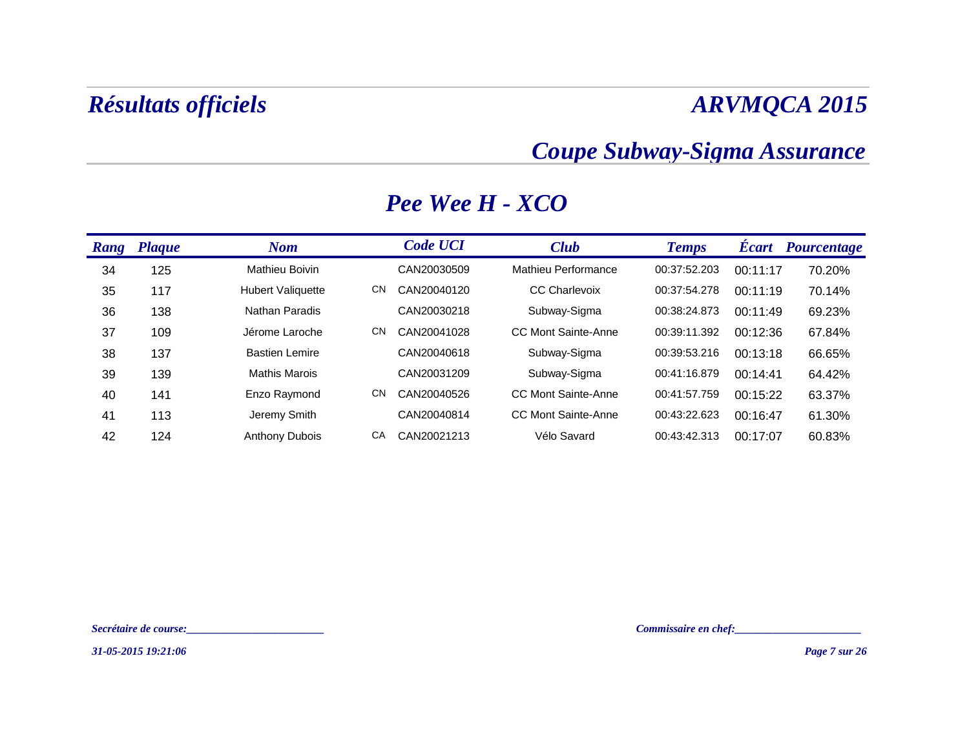### *Coupe Subway-Sigma Assurance*

| Rang | <b>Plaque</b> | <b>Nom</b>               |     | <b>Code UCI</b> | <b>Club</b>          | <b>Temps</b> | <b>Ecart</b> | <b>Pourcentage</b> |
|------|---------------|--------------------------|-----|-----------------|----------------------|--------------|--------------|--------------------|
| 34   | 125           | <b>Mathieu Boivin</b>    |     | CAN20030509     | Mathieu Performance  | 00:37:52.203 | 00:11:17     | 70.20%             |
| 35   | 117           | <b>Hubert Valiquette</b> | CN  | CAN20040120     | <b>CC Charlevoix</b> | 00:37:54.278 | 00:11:19     | 70.14%             |
| 36   | 138           | Nathan Paradis           |     | CAN20030218     | Subway-Sigma         | 00:38:24.873 | 00:11:49     | 69.23%             |
| 37   | 109           | Jérome Laroche           | CN  | CAN20041028     | CC Mont Sainte-Anne  | 00:39:11.392 | 00:12:36     | 67.84%             |
| 38   | 137           | <b>Bastien Lemire</b>    |     | CAN20040618     | Subway-Sigma         | 00:39:53.216 | 00:13:18     | 66.65%             |
| 39   | 139           | <b>Mathis Marois</b>     |     | CAN20031209     | Subway-Sigma         | 00:41:16.879 | 00:14:41     | 64.42%             |
| 40   | 141           | Enzo Raymond             | CN. | CAN20040526     | CC Mont Sainte-Anne  | 00:41:57.759 | 00:15:22     | 63.37%             |
| 41   | 113           | Jeremy Smith             |     | CAN20040814     | CC Mont Sainte-Anne  | 00:43:22.623 | 00:16:47     | 61.30%             |
| 42   | 124           | <b>Anthony Dubois</b>    | СA  | CAN20021213     | Vélo Savard          | 00:43:42.313 | 00:17:07     | 60.83%             |

### *Pee Wee H - XCO*

*31-05-2015 19:21:06*

*Secrétaire de course:\_\_\_\_\_\_\_\_\_\_\_\_\_\_\_\_\_\_\_\_\_\_\_\_\_ Commissaire en chef:\_\_\_\_\_\_\_\_\_\_\_\_\_\_\_\_\_\_\_\_\_\_\_*

*Page 7 sur 26*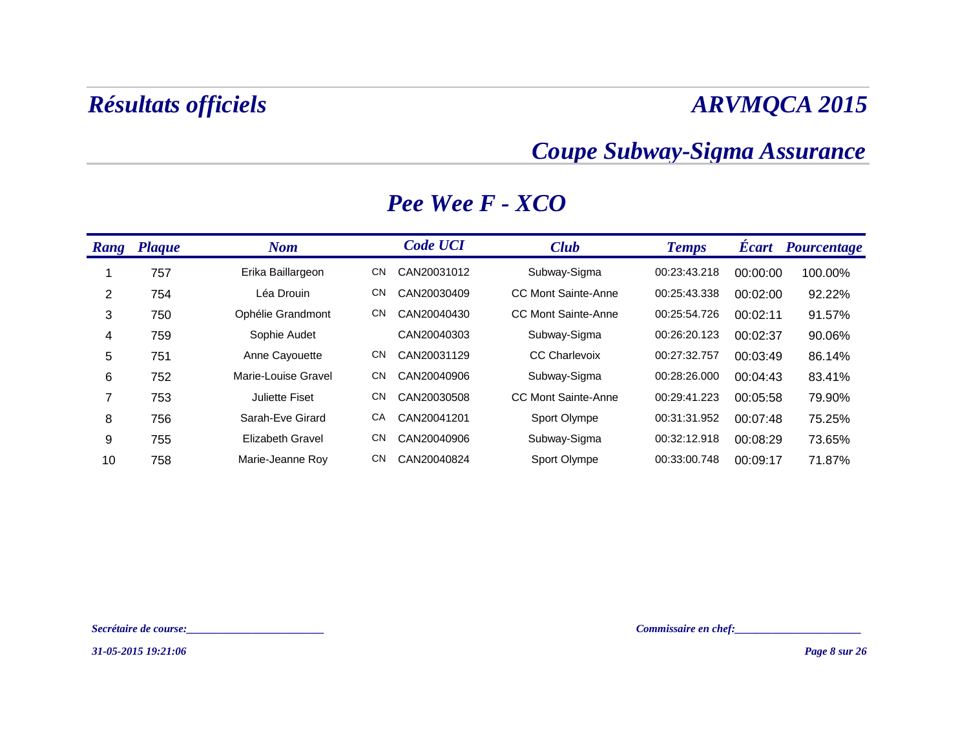### *Coupe Subway-Sigma Assurance*

| <b>Rang</b>    | <b>Plaque</b> | <b>Nom</b>            |     | <b>Code UCI</b> | <b>Club</b>                | <b>Temps</b> | <b>Ecart</b> | Pourcentage |
|----------------|---------------|-----------------------|-----|-----------------|----------------------------|--------------|--------------|-------------|
|                | 757           | Erika Baillargeon     | CN  | CAN20031012     | Subway-Sigma               | 00:23:43.218 | 00:00:00     | 100.00%     |
| 2              | 754           | Léa Drouin            | CN  | CAN20030409     | CC Mont Sainte-Anne        | 00:25:43.338 | 00:02:00     | 92.22%      |
| 3              | 750           | Ophélie Grandmont     | CN. | CAN20040430     | <b>CC Mont Sainte-Anne</b> | 00:25:54.726 | 00:02:11     | 91.57%      |
| $\overline{4}$ | 759           | Sophie Audet          |     | CAN20040303     | Subway-Sigma               | 00:26:20.123 | 00:02:37     | 90.06%      |
| 5              | 751           | Anne Cayouette        | CN  | CAN20031129     | <b>CC Charlevoix</b>       | 00:27:32.757 | 00:03:49     | 86.14%      |
| 6              | 752           | Marie-Louise Gravel   | CN  | CAN20040906     | Subway-Sigma               | 00:28:26.000 | 00:04:43     | 83.41%      |
| 7              | 753           | <b>Juliette Fiset</b> | CN  | CAN20030508     | CC Mont Sainte-Anne        | 00:29:41.223 | 00:05:58     | 79.90%      |
| 8              | 756           | Sarah-Eve Girard      | СA  | CAN20041201     | Sport Olympe               | 00:31:31.952 | 00:07:48     | 75.25%      |
| 9              | 755           | Elizabeth Gravel      | CN. | CAN20040906     | Subway-Sigma               | 00:32:12.918 | 00:08:29     | 73.65%      |
| 10             | 758           | Marie-Jeanne Roy      | CN  | CAN20040824     | Sport Olympe               | 00:33:00.748 | 00:09:17     | 71.87%      |

### *Pee Wee F - XCO*

*Secrétaire de course:\_\_\_\_\_\_\_\_\_\_\_\_\_\_\_\_\_\_\_\_\_\_\_\_\_ Commissaire en chef:\_\_\_\_\_\_\_\_\_\_\_\_\_\_\_\_\_\_\_\_\_\_\_*

*31-05-2015 19:21:06*

*Page 8 sur 26*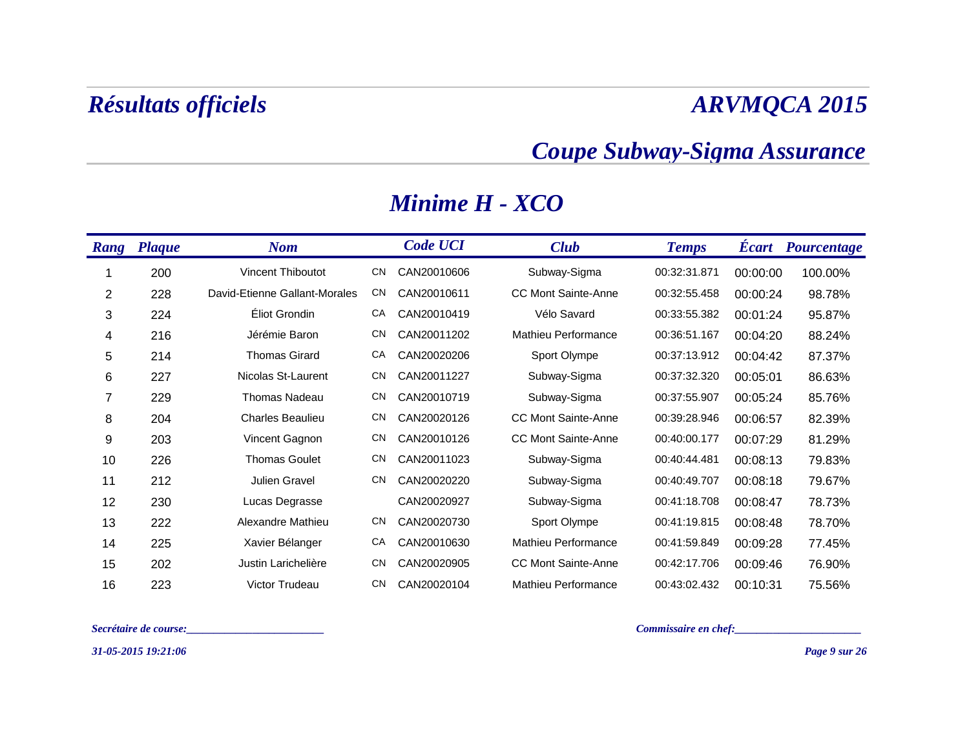### *Coupe Subway-Sigma Assurance*

| <b>Rang</b> | <b>Plaque</b> | <b>Nom</b>                    |           | <b>Code UCI</b> | <b>Club</b>                | <b>Temps</b> | <b>Ecart</b> | <b>Pourcentage</b> |
|-------------|---------------|-------------------------------|-----------|-----------------|----------------------------|--------------|--------------|--------------------|
|             | 200           | <b>Vincent Thiboutot</b>      | <b>CN</b> | CAN20010606     | Subway-Sigma               | 00:32:31.871 | 00:00:00     | 100.00%            |
| 2           | 228           | David-Etienne Gallant-Morales | CN        | CAN20010611     | <b>CC Mont Sainte-Anne</b> | 00:32:55.458 | 00:00:24     | 98.78%             |
| 3           | 224           | Éliot Grondin                 | CA        | CAN20010419     | Vélo Savard                | 00:33:55.382 | 00:01:24     | 95.87%             |
| 4           | 216           | Jérémie Baron                 | <b>CN</b> | CAN20011202     | Mathieu Performance        | 00:36:51.167 | 00:04:20     | 88.24%             |
| 5           | 214           | <b>Thomas Girard</b>          | CA        | CAN20020206     | Sport Olympe               | 00:37:13.912 | 00:04:42     | 87.37%             |
| 6           | 227           | Nicolas St-Laurent            | <b>CN</b> | CAN20011227     | Subway-Sigma               | 00:37:32.320 | 00:05:01     | 86.63%             |
| 7           | 229           | <b>Thomas Nadeau</b>          | <b>CN</b> | CAN20010719     | Subway-Sigma               | 00:37:55.907 | 00:05:24     | 85.76%             |
| 8           | 204           | <b>Charles Beaulieu</b>       | <b>CN</b> | CAN20020126     | <b>CC Mont Sainte-Anne</b> | 00:39:28.946 | 00:06:57     | 82.39%             |
| 9           | 203           | Vincent Gagnon                | <b>CN</b> | CAN20010126     | <b>CC Mont Sainte-Anne</b> | 00:40:00.177 | 00:07:29     | 81.29%             |
| 10          | 226           | <b>Thomas Goulet</b>          | <b>CN</b> | CAN20011023     | Subway-Sigma               | 00:40:44.481 | 00:08:13     | 79.83%             |
| 11          | 212           | Julien Gravel                 | <b>CN</b> | CAN20020220     | Subway-Sigma               | 00:40:49.707 | 00:08:18     | 79.67%             |
| 12          | 230           | Lucas Degrasse                |           | CAN20020927     | Subway-Sigma               | 00:41:18.708 | 00:08:47     | 78.73%             |
| 13          | 222           | Alexandre Mathieu             | <b>CN</b> | CAN20020730     | Sport Olympe               | 00:41:19.815 | 00:08:48     | 78.70%             |
| 14          | 225           | Xavier Bélanger               | CA        | CAN20010630     | Mathieu Performance        | 00:41:59.849 | 00:09:28     | 77.45%             |
| 15          | 202           | Justin Larichelière           | <b>CN</b> | CAN20020905     | <b>CC Mont Sainte-Anne</b> | 00:42:17.706 | 00:09:46     | 76.90%             |
| 16          | 223           | Victor Trudeau                | <b>CN</b> | CAN20020104     | Mathieu Performance        | 00:43:02.432 | 00:10:31     | 75.56%             |

### *Minime H - XCO*

*Secrétaire de course:\_\_\_\_\_\_\_\_\_\_\_\_\_\_\_\_\_\_\_\_\_\_\_\_\_ Commissaire en chef:\_\_\_\_\_\_\_\_\_\_\_\_\_\_\_\_\_\_\_\_\_\_\_*

*31-05-2015 19:21:06*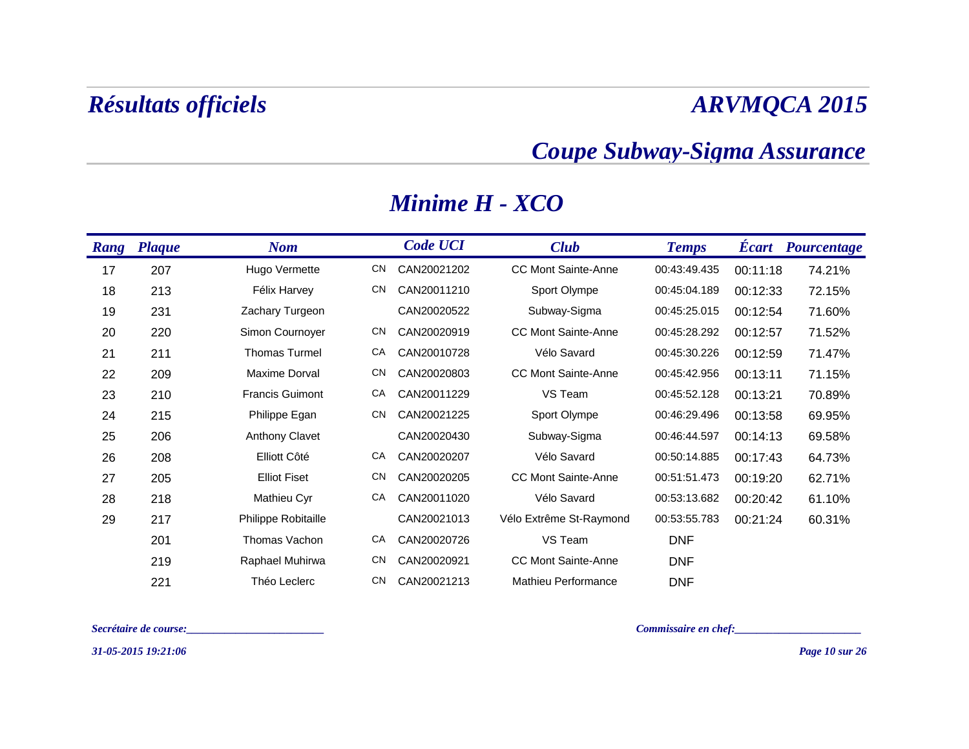### *Coupe Subway-Sigma Assurance*

| <b>Rang</b> | <b>Plaque</b> | <b>Nom</b>             |           | <b>Code UCI</b> | <b>Club</b>                | <b>Temps</b> | <b>Ecart</b> | Pourcentage |
|-------------|---------------|------------------------|-----------|-----------------|----------------------------|--------------|--------------|-------------|
| 17          | 207           | Hugo Vermette          | CN        | CAN20021202     | <b>CC Mont Sainte-Anne</b> | 00:43:49.435 | 00:11:18     | 74.21%      |
| 18          | 213           | Félix Harvey           | <b>CN</b> | CAN20011210     | Sport Olympe               | 00:45:04.189 | 00:12:33     | 72.15%      |
| 19          | 231           | Zachary Turgeon        |           | CAN20020522     | Subway-Sigma               | 00:45:25.015 | 00:12:54     | 71.60%      |
| 20          | 220           | Simon Cournoyer        | <b>CN</b> | CAN20020919     | <b>CC Mont Sainte-Anne</b> | 00:45:28.292 | 00:12:57     | 71.52%      |
| 21          | 211           | <b>Thomas Turmel</b>   | CA        | CAN20010728     | Vélo Savard                | 00:45:30.226 | 00:12:59     | 71.47%      |
| 22          | 209           | Maxime Dorval          | <b>CN</b> | CAN20020803     | <b>CC Mont Sainte-Anne</b> | 00:45:42.956 | 00:13:11     | 71.15%      |
| 23          | 210           | <b>Francis Guimont</b> | CA        | CAN20011229     | VS Team                    | 00:45:52.128 | 00:13:21     | 70.89%      |
| 24          | 215           | Philippe Egan          | <b>CN</b> | CAN20021225     | Sport Olympe               | 00:46:29.496 | 00:13:58     | 69.95%      |
| 25          | 206           | <b>Anthony Clavet</b>  |           | CAN20020430     | Subway-Sigma               | 00:46:44.597 | 00:14:13     | 69.58%      |
| 26          | 208           | Elliott Côté           | CA        | CAN20020207     | Vélo Savard                | 00:50:14.885 | 00:17:43     | 64.73%      |
| 27          | 205           | <b>Elliot Fiset</b>    | <b>CN</b> | CAN20020205     | <b>CC Mont Sainte-Anne</b> | 00:51:51.473 | 00:19:20     | 62.71%      |
| 28          | 218           | Mathieu Cyr            | CA        | CAN20011020     | Vélo Savard                | 00:53:13.682 | 00:20:42     | 61.10%      |
| 29          | 217           | Philippe Robitaille    |           | CAN20021013     | Vélo Extrême St-Raymond    | 00:53:55.783 | 00:21:24     | 60.31%      |
|             | 201           | Thomas Vachon          | CA        | CAN20020726     | VS Team                    | <b>DNF</b>   |              |             |
|             | 219           | Raphael Muhirwa        | <b>CN</b> | CAN20020921     | <b>CC Mont Sainte-Anne</b> | <b>DNF</b>   |              |             |
|             | 221           | Théo Leclerc           | <b>CN</b> | CAN20021213     | Mathieu Performance        | <b>DNF</b>   |              |             |

### *Minime H - XCO*

*Secrétaire de course:\_\_\_\_\_\_\_\_\_\_\_\_\_\_\_\_\_\_\_\_\_\_\_\_\_ Commissaire en chef:\_\_\_\_\_\_\_\_\_\_\_\_\_\_\_\_\_\_\_\_\_\_\_*

*31-05-2015 19:21:06*

*Page 10 sur 26*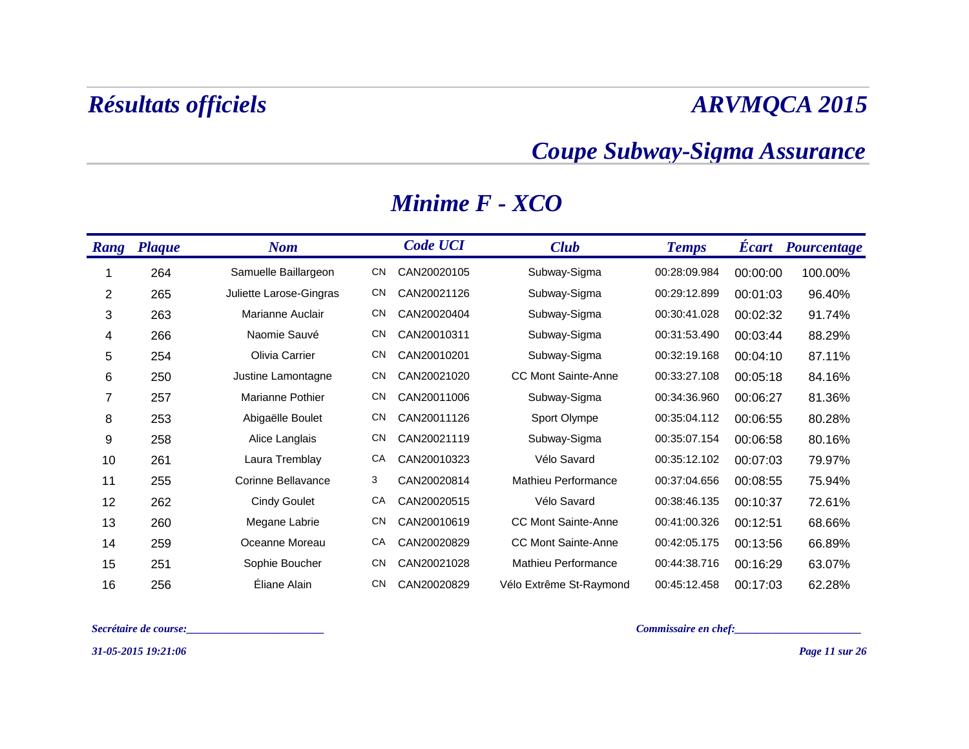### *Coupe Subway-Sigma Assurance*

| <b>Rang</b> | <b>Plaque</b> | <b>Nom</b>              |           | <b>Code UCI</b> | <b>Club</b>                | <b>Temps</b> | <b>Ecart</b> | <b>Pourcentage</b> |
|-------------|---------------|-------------------------|-----------|-----------------|----------------------------|--------------|--------------|--------------------|
|             | 264           | Samuelle Baillargeon    | CN        | CAN20020105     | Subway-Sigma               | 00:28:09.984 | 00:00:00     | 100.00%            |
| 2           | 265           | Juliette Larose-Gingras | <b>CN</b> | CAN20021126     | Subway-Sigma               | 00:29:12.899 | 00:01:03     | 96.40%             |
| 3           | 263           | Marianne Auclair        | <b>CN</b> | CAN20020404     | Subway-Sigma               | 00:30:41.028 | 00:02:32     | 91.74%             |
| 4           | 266           | Naomie Sauvé            | <b>CN</b> | CAN20010311     | Subway-Sigma               | 00:31:53.490 | 00:03:44     | 88.29%             |
| 5           | 254           | Olivia Carrier          | <b>CN</b> | CAN20010201     | Subway-Sigma               | 00:32:19.168 | 00:04:10     | 87.11%             |
| 6           | 250           | Justine Lamontagne      | <b>CN</b> | CAN20021020     | <b>CC Mont Sainte-Anne</b> | 00:33:27.108 | 00:05:18     | 84.16%             |
| 7           | 257           | Marianne Pothier        | <b>CN</b> | CAN20011006     | Subway-Sigma               | 00:34:36.960 | 00:06:27     | 81.36%             |
| 8           | 253           | Abigaëlle Boulet        | <b>CN</b> | CAN20011126     | Sport Olympe               | 00:35:04.112 | 00:06:55     | 80.28%             |
| 9           | 258           | Alice Langlais          | <b>CN</b> | CAN20021119     | Subway-Sigma               | 00:35:07.154 | 00:06:58     | 80.16%             |
| 10          | 261           | Laura Tremblay          | CA        | CAN20010323     | Vélo Savard                | 00:35:12.102 | 00:07:03     | 79.97%             |
| 11          | 255           | Corinne Bellavance      | 3         | CAN20020814     | <b>Mathieu Performance</b> | 00:37:04.656 | 00:08:55     | 75.94%             |
| 12          | 262           | <b>Cindy Goulet</b>     | CA        | CAN20020515     | Vélo Savard                | 00:38:46.135 | 00:10:37     | 72.61%             |
| 13          | 260           | Megane Labrie           | <b>CN</b> | CAN20010619     | <b>CC Mont Sainte-Anne</b> | 00:41:00.326 | 00:12:51     | 68.66%             |
| 14          | 259           | Oceanne Moreau          | CA        | CAN20020829     | <b>CC Mont Sainte-Anne</b> | 00:42:05.175 | 00:13:56     | 66.89%             |
| 15          | 251           | Sophie Boucher          | <b>CN</b> | CAN20021028     | Mathieu Performance        | 00:44:38.716 | 00:16:29     | 63.07%             |
| 16          | 256           | Éliane Alain            | <b>CN</b> | CAN20020829     | Vélo Extrême St-Raymond    | 00:45:12.458 | 00:17:03     | 62.28%             |

### *Minime F - XCO*

*Secrétaire de course:\_\_\_\_\_\_\_\_\_\_\_\_\_\_\_\_\_\_\_\_\_\_\_\_\_ Commissaire en chef:\_\_\_\_\_\_\_\_\_\_\_\_\_\_\_\_\_\_\_\_\_\_\_*

*31-05-2015 19:21:06*

*Page 11 sur 26*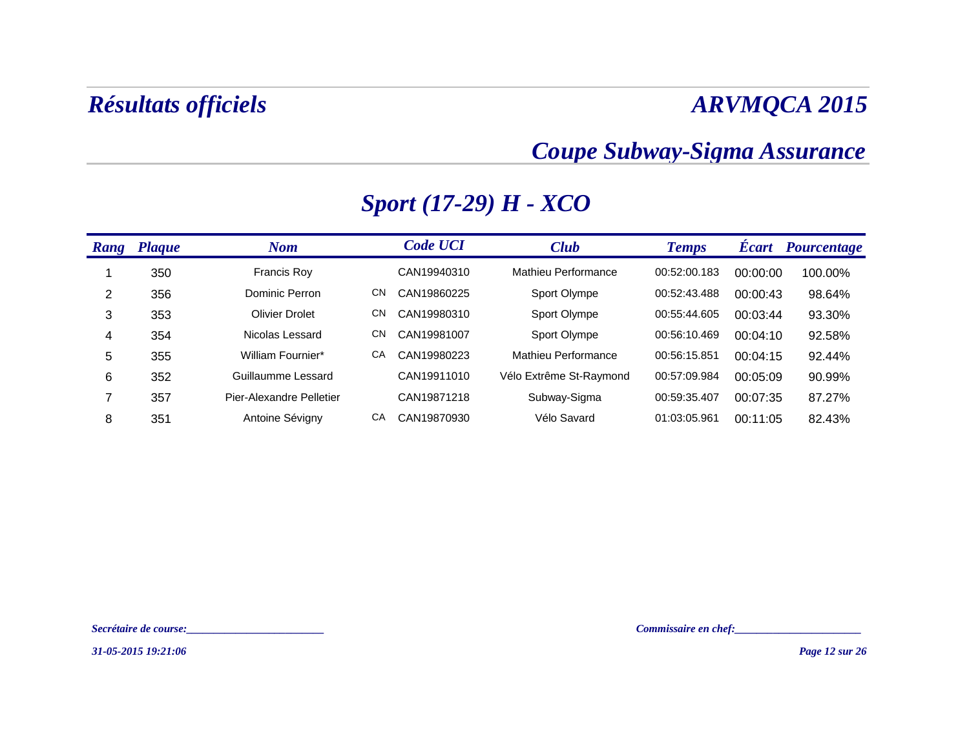### *Coupe Subway-Sigma Assurance*

| <b>Rang</b> | <b>Plaque</b> | <b>Nom</b>               |     | <b>Code UCI</b> | <b>Club</b>                | <b>Temps</b> | <b>Ecart</b> | Pourcentage |
|-------------|---------------|--------------------------|-----|-----------------|----------------------------|--------------|--------------|-------------|
|             | 350           | <b>Francis Roy</b>       |     | CAN19940310     | Mathieu Performance        | 00:52:00.183 | 00:00:00     | 100.00%     |
| 2           | 356           | Dominic Perron           | CN  | CAN19860225     | Sport Olympe               | 00:52:43.488 | 00:00:43     | 98.64%      |
| 3           | 353           | <b>Olivier Drolet</b>    | CN. | CAN19980310     | Sport Olympe               | 00:55:44.605 | 00:03:44     | 93.30%      |
| 4           | 354           | Nicolas Lessard          | CΝ  | CAN19981007     | Sport Olympe               | 00:56:10.469 | 00:04:10     | 92.58%      |
| 5           | 355           | William Fournier*        | CA  | CAN19980223     | <b>Mathieu Performance</b> | 00:56:15.851 | 00:04:15     | 92.44%      |
| 6           | 352           | Guillaumme Lessard       |     | CAN19911010     | Vélo Extrême St-Raymond    | 00:57:09.984 | 00:05:09     | 90.99%      |
| ⇁           | 357           | Pier-Alexandre Pelletier |     | CAN19871218     | Subway-Sigma               | 00:59:35.407 | 00:07:35     | 87.27%      |
| 8           | 351           | Antoine Sévigny          | CA  | CAN19870930     | Vélo Savard                | 01:03:05.961 | 00:11:05     | 82.43%      |

### *Sport (17-29) H - XCO*

*Secrétaire de course:\_\_\_\_\_\_\_\_\_\_\_\_\_\_\_\_\_\_\_\_\_\_\_\_\_ Commissaire en chef:\_\_\_\_\_\_\_\_\_\_\_\_\_\_\_\_\_\_\_\_\_\_\_*

*31-05-2015 19:21:06*

*Page 12 sur 26*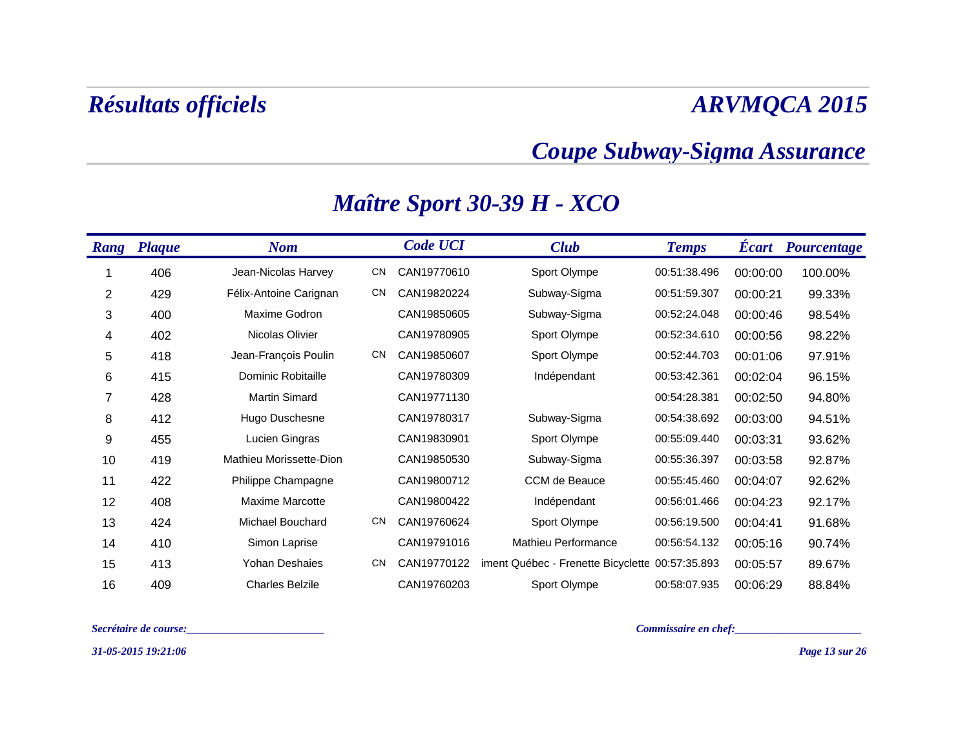### *Coupe Subway-Sigma Assurance*

| <b>Rang</b> | <b>Plaque</b> | <b>Nom</b>              |           | <b>Code UCI</b> | <b>Club</b>                                     | <b>Temps</b> | <b>Ecart</b> | <b>Pourcentage</b> |
|-------------|---------------|-------------------------|-----------|-----------------|-------------------------------------------------|--------------|--------------|--------------------|
|             | 406           | Jean-Nicolas Harvey     | <b>CN</b> | CAN19770610     | Sport Olympe                                    | 00:51:38.496 | 00:00:00     | 100.00%            |
| 2           | 429           | Félix-Antoine Carignan  | <b>CN</b> | CAN19820224     | Subway-Sigma                                    | 00:51:59.307 | 00:00:21     | 99.33%             |
| 3           | 400           | Maxime Godron           |           | CAN19850605     | Subway-Sigma                                    | 00:52:24.048 | 00:00:46     | 98.54%             |
| 4           | 402           | Nicolas Olivier         |           | CAN19780905     | Sport Olympe                                    | 00:52:34.610 | 00:00:56     | 98.22%             |
| 5           | 418           | Jean-François Poulin    | <b>CN</b> | CAN19850607     | Sport Olympe                                    | 00:52:44.703 | 00:01:06     | 97.91%             |
| 6           | 415           | Dominic Robitaille      |           | CAN19780309     | Indépendant                                     | 00:53:42.361 | 00:02:04     | 96.15%             |
| 7           | 428           | <b>Martin Simard</b>    |           | CAN19771130     |                                                 | 00:54:28.381 | 00:02:50     | 94.80%             |
| 8           | 412           | Hugo Duschesne          |           | CAN19780317     | Subway-Sigma                                    | 00:54:38.692 | 00:03:00     | 94.51%             |
| 9           | 455           | Lucien Gingras          |           | CAN19830901     | Sport Olympe                                    | 00:55:09.440 | 00:03:31     | 93.62%             |
| 10          | 419           | Mathieu Morissette-Dion |           | CAN19850530     | Subway-Sigma                                    | 00:55:36.397 | 00:03:58     | 92.87%             |
| 11          | 422           | Philippe Champagne      |           | CAN19800712     | CCM de Beauce                                   | 00:55:45.460 | 00:04:07     | 92.62%             |
| 12          | 408           | <b>Maxime Marcotte</b>  |           | CAN19800422     | Indépendant                                     | 00:56:01.466 | 00:04:23     | 92.17%             |
| 13          | 424           | Michael Bouchard        | <b>CN</b> | CAN19760624     | Sport Olympe                                    | 00:56:19.500 | 00:04:41     | 91.68%             |
| 14          | 410           | Simon Laprise           |           | CAN19791016     | Mathieu Performance                             | 00:56:54.132 | 00:05:16     | 90.74%             |
| 15          | 413           | <b>Yohan Deshaies</b>   | <b>CN</b> | CAN19770122     | iment Québec - Frenette Bicyclette 00:57:35.893 |              | 00:05:57     | 89.67%             |
| 16          | 409           | <b>Charles Belzile</b>  |           | CAN19760203     | Sport Olympe                                    | 00:58:07.935 | 00:06:29     | 88.84%             |

### *Maître Sport 30-39 H - XCO*

*Secrétaire de course:\_\_\_\_\_\_\_\_\_\_\_\_\_\_\_\_\_\_\_\_\_\_\_\_\_ Commissaire en chef:\_\_\_\_\_\_\_\_\_\_\_\_\_\_\_\_\_\_\_\_\_\_\_*

*31-05-2015 19:21:06*

*Page 13 sur 26*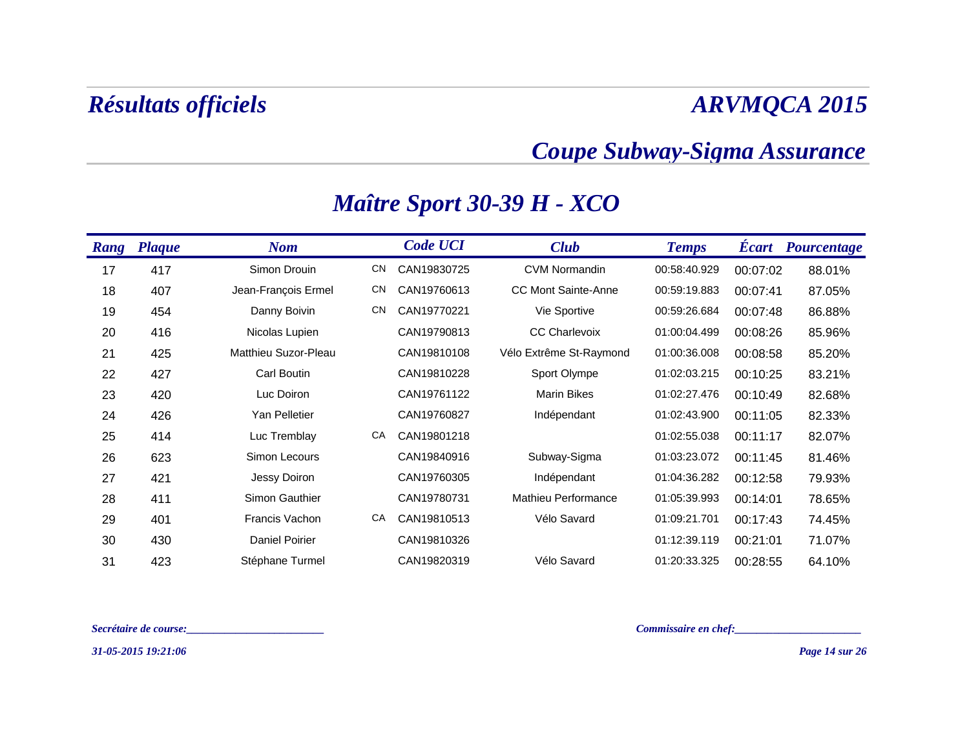### *Coupe Subway-Sigma Assurance*

| <b>Rang</b> | <b>Plaque</b> | <b>Nom</b>           |           | <b>Code UCI</b> | <b>Club</b>                | <b>Temps</b> | <b>Ecart</b> | Pourcentage |
|-------------|---------------|----------------------|-----------|-----------------|----------------------------|--------------|--------------|-------------|
| 17          | 417           | Simon Drouin         | <b>CN</b> | CAN19830725     | <b>CVM Normandin</b>       | 00:58:40.929 | 00:07:02     | 88.01%      |
| 18          | 407           | Jean-François Ermel  | <b>CN</b> | CAN19760613     | <b>CC Mont Sainte-Anne</b> | 00:59:19.883 | 00:07:41     | 87.05%      |
| 19          | 454           | Danny Boivin         | <b>CN</b> | CAN19770221     | Vie Sportive               | 00:59:26.684 | 00:07:48     | 86.88%      |
| 20          | 416           | Nicolas Lupien       |           | CAN19790813     | <b>CC Charlevoix</b>       | 01:00:04.499 | 00:08:26     | 85.96%      |
| 21          | 425           | Matthieu Suzor-Pleau |           | CAN19810108     | Vélo Extrême St-Raymond    | 01:00:36.008 | 00:08:58     | 85.20%      |
| 22          | 427           | <b>Carl Boutin</b>   |           | CAN19810228     | Sport Olympe               | 01:02:03.215 | 00:10:25     | 83.21%      |
| 23          | 420           | Luc Doiron           |           | CAN19761122     | <b>Marin Bikes</b>         | 01:02:27.476 | 00:10:49     | 82.68%      |
| 24          | 426           | Yan Pelletier        |           | CAN19760827     | Indépendant                | 01:02:43.900 | 00:11:05     | 82.33%      |
| 25          | 414           | Luc Tremblay         | CA        | CAN19801218     |                            | 01:02:55.038 | 00:11:17     | 82.07%      |
| 26          | 623           | Simon Lecours        |           | CAN19840916     | Subway-Sigma               | 01:03:23.072 | 00:11:45     | 81.46%      |
| 27          | 421           | Jessy Doiron         |           | CAN19760305     | Indépendant                | 01:04:36.282 | 00:12:58     | 79.93%      |
| 28          | 411           | Simon Gauthier       |           | CAN19780731     | Mathieu Performance        | 01:05:39.993 | 00:14:01     | 78.65%      |
| 29          | 401           | Francis Vachon       | CA        | CAN19810513     | Vélo Savard                | 01:09:21.701 | 00:17:43     | 74.45%      |
| 30          | 430           | Daniel Poirier       |           | CAN19810326     |                            | 01:12:39.119 | 00:21:01     | 71.07%      |
| 31          | 423           | Stéphane Turmel      |           | CAN19820319     | Vélo Savard                | 01:20:33.325 | 00:28:55     | 64.10%      |

### *Maître Sport 30-39 H - XCO*

*Secrétaire de course:\_\_\_\_\_\_\_\_\_\_\_\_\_\_\_\_\_\_\_\_\_\_\_\_\_ Commissaire en chef:\_\_\_\_\_\_\_\_\_\_\_\_\_\_\_\_\_\_\_\_\_\_\_*

*31-05-2015 19:21:06*

*Page 14 sur 26*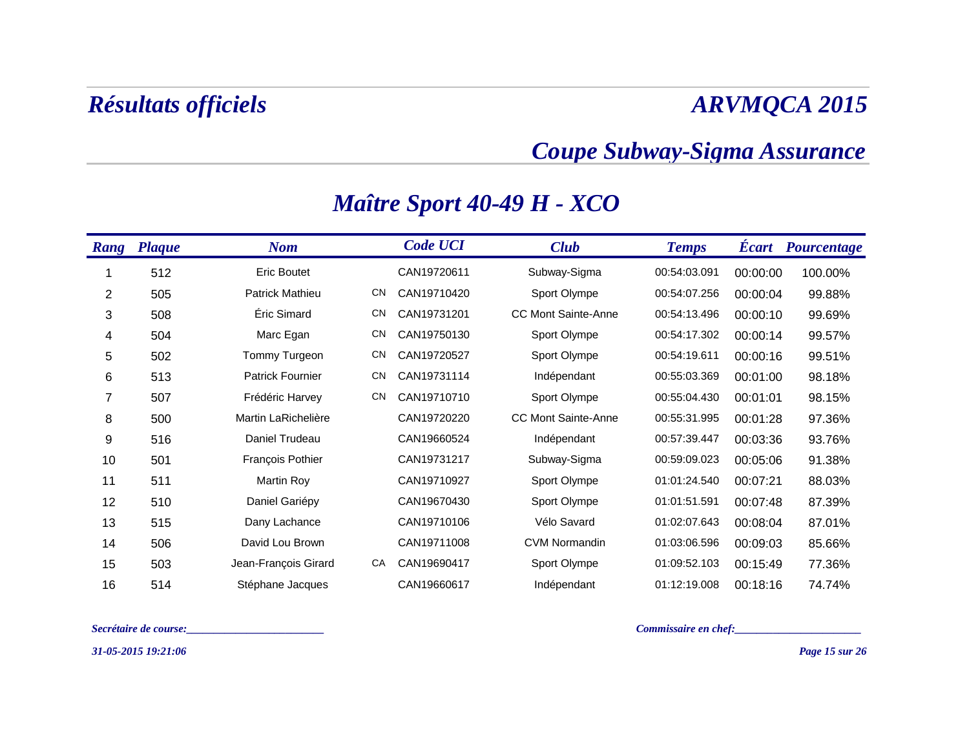### *Coupe Subway-Sigma Assurance*

| <b>Rang</b> | <b>Plaque</b> | <b>Nom</b>              |           | <b>Code UCI</b> | <b>Club</b>                | <b>Temps</b> | <b>Ecart</b> | Pourcentage |
|-------------|---------------|-------------------------|-----------|-----------------|----------------------------|--------------|--------------|-------------|
|             | 512           | <b>Eric Boutet</b>      |           | CAN19720611     | Subway-Sigma               | 00:54:03.091 | 00:00:00     | 100.00%     |
| 2           | 505           | Patrick Mathieu         | <b>CN</b> | CAN19710420     | Sport Olympe               | 00:54:07.256 | 00:00:04     | 99.88%      |
| 3           | 508           | Éric Simard             | <b>CN</b> | CAN19731201     | <b>CC Mont Sainte-Anne</b> | 00:54:13.496 | 00:00:10     | 99.69%      |
| 4           | 504           | Marc Egan               | <b>CN</b> | CAN19750130     | Sport Olympe               | 00:54:17.302 | 00:00:14     | 99.57%      |
| 5           | 502           | Tommy Turgeon           | <b>CN</b> | CAN19720527     | Sport Olympe               | 00:54:19.611 | 00:00:16     | 99.51%      |
| 6           | 513           | <b>Patrick Fournier</b> | <b>CN</b> | CAN19731114     | Indépendant                | 00:55:03.369 | 00:01:00     | 98.18%      |
| 7           | 507           | Frédéric Harvey         | <b>CN</b> | CAN19710710     | Sport Olympe               | 00:55:04.430 | 00:01:01     | 98.15%      |
| 8           | 500           | Martin LaRichelière     |           | CAN19720220     | <b>CC Mont Sainte-Anne</b> | 00:55:31.995 | 00:01:28     | 97.36%      |
| 9           | 516           | Daniel Trudeau          |           | CAN19660524     | Indépendant                | 00:57:39.447 | 00:03:36     | 93.76%      |
| 10          | 501           | François Pothier        |           | CAN19731217     | Subway-Sigma               | 00:59:09.023 | 00:05:06     | 91.38%      |
| 11          | 511           | <b>Martin Roy</b>       |           | CAN19710927     | Sport Olympe               | 01:01:24.540 | 00:07:21     | 88.03%      |
| 12          | 510           | Daniel Gariépy          |           | CAN19670430     | Sport Olympe               | 01:01:51.591 | 00:07:48     | 87.39%      |
| 13          | 515           | Dany Lachance           |           | CAN19710106     | Vélo Savard                | 01:02:07.643 | 00:08:04     | 87.01%      |
| 14          | 506           | David Lou Brown         |           | CAN19711008     | <b>CVM Normandin</b>       | 01:03:06.596 | 00:09:03     | 85.66%      |
| 15          | 503           | Jean-François Girard    | CA        | CAN19690417     | Sport Olympe               | 01:09:52.103 | 00:15:49     | 77.36%      |
| 16          | 514           | Stéphane Jacques        |           | CAN19660617     | Indépendant                | 01:12:19.008 | 00:18:16     | 74.74%      |

### *Maître Sport 40-49 H - XCO*

*Secrétaire de course:\_\_\_\_\_\_\_\_\_\_\_\_\_\_\_\_\_\_\_\_\_\_\_\_\_ Commissaire en chef:\_\_\_\_\_\_\_\_\_\_\_\_\_\_\_\_\_\_\_\_\_\_\_*

*31-05-2015 19:21:06*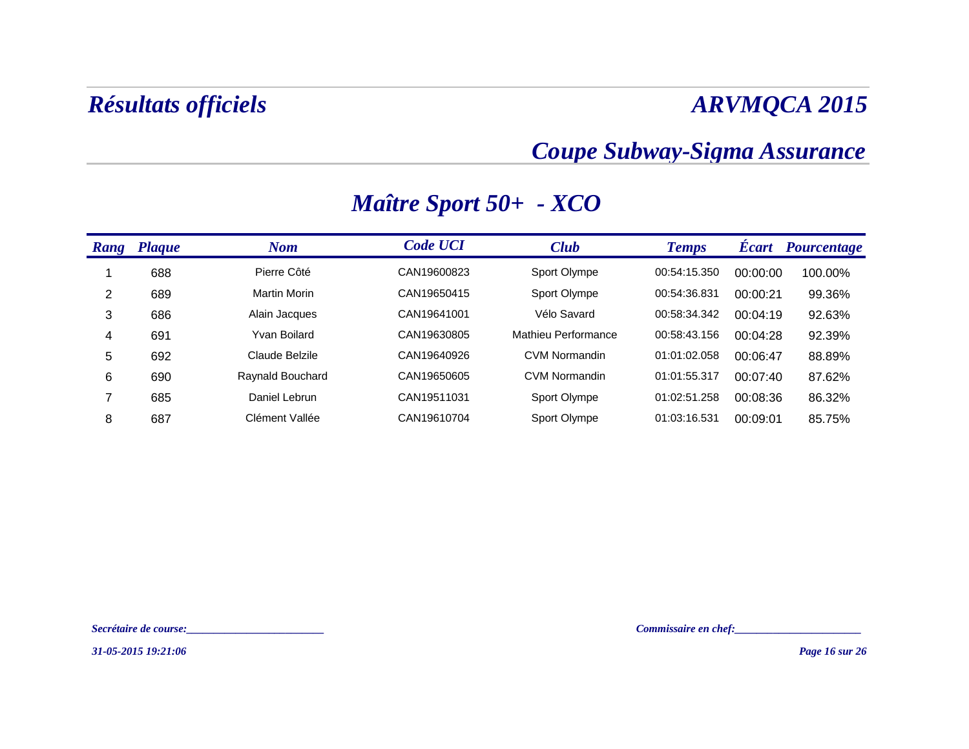### *Coupe Subway-Sigma Assurance*

| Rang | <b>Plaque</b> | <b>Nom</b>          | <b>Code UCI</b> | <b>Club</b>          | <b>Temps</b> | <b>Ecart</b> | Pourcentage |
|------|---------------|---------------------|-----------------|----------------------|--------------|--------------|-------------|
|      | 688           | Pierre Côté         | CAN19600823     | Sport Olympe         | 00:54:15.350 | 00:00:00     | 100.00%     |
| 2    | 689           | <b>Martin Morin</b> | CAN19650415     | Sport Olympe         | 00:54:36.831 | 00:00:21     | 99.36%      |
| 3    | 686           | Alain Jacques       | CAN19641001     | Vélo Savard          | 00:58:34.342 | 00:04:19     | 92.63%      |
| 4    | 691           | Yvan Boilard        | CAN19630805     | Mathieu Performance  | 00:58:43.156 | 00:04:28     | 92.39%      |
| 5    | 692           | Claude Belzile      | CAN19640926     | <b>CVM Normandin</b> | 01:01:02.058 | 00:06:47     | 88.89%      |
| 6    | 690           | Raynald Bouchard    | CAN19650605     | <b>CVM Normandin</b> | 01:01:55.317 | 00:07:40     | 87.62%      |
|      | 685           | Daniel Lebrun       | CAN19511031     | Sport Olympe         | 01:02:51.258 | 00:08:36     | 86.32%      |
| 8    | 687           | Clément Vallée      | CAN19610704     | Sport Olympe         | 01:03:16.531 | 00:09:01     | 85.75%      |

### *Maître Sport 50+ - XCO*

*Secrétaire de course:\_\_\_\_\_\_\_\_\_\_\_\_\_\_\_\_\_\_\_\_\_\_\_\_\_ Commissaire en chef:\_\_\_\_\_\_\_\_\_\_\_\_\_\_\_\_\_\_\_\_\_\_\_*

*31-05-2015 19:21:06*

*Page 16 sur 26*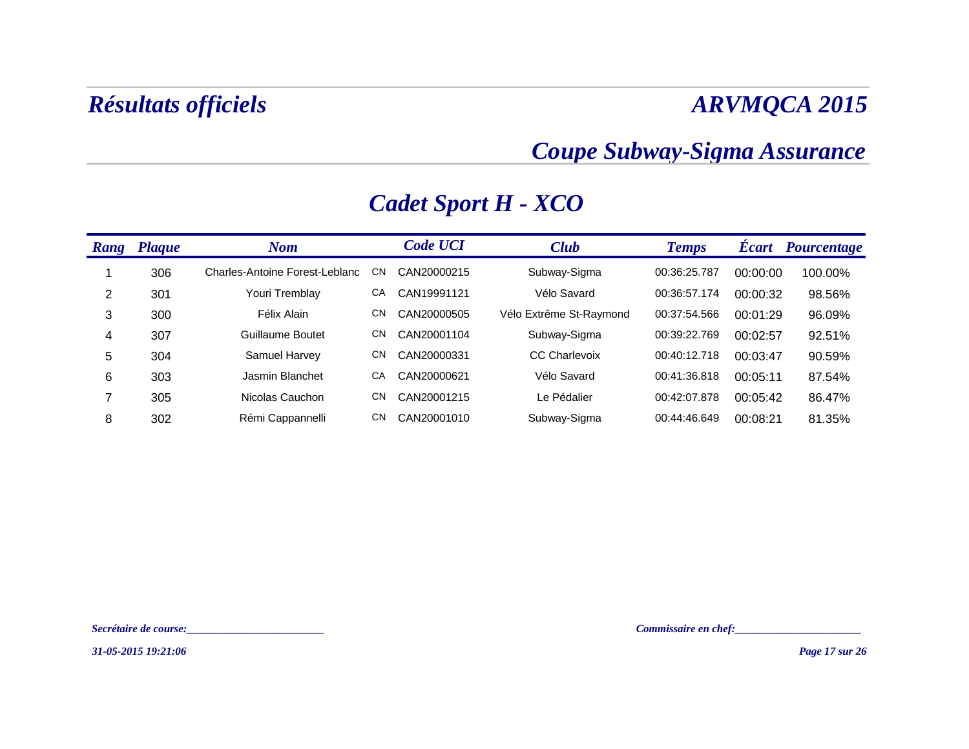### *Coupe Subway-Sigma Assurance*

| <b>Rang</b> | <b>Plaque</b> | Nom                            |           | <b>Code UCI</b> | <b>Club</b>             | <b>Temps</b> | <b>Écart</b> | Pourcentage |
|-------------|---------------|--------------------------------|-----------|-----------------|-------------------------|--------------|--------------|-------------|
|             | 306           | Charles-Antoine Forest-Leblanc | СN        | CAN20000215     | Subway-Sigma            | 00:36:25.787 | 00:00:00     | 100.00%     |
| 2           | 301           | Youri Tremblay                 | CA        | CAN19991121     | Vélo Savard             | 00:36:57.174 | 00:00:32     | 98.56%      |
| 3           | 300           | Félix Alain                    | CΝ        | CAN20000505     | Vélo Extrême St-Raymond | 00:37:54.566 | 00:01:29     | 96.09%      |
| 4           | 307           | Guillaume Boutet               | <b>CN</b> | CAN20001104     | Subway-Sigma            | 00:39:22.769 | 00:02:57     | 92.51%      |
| 5           | 304           | Samuel Harvey                  | CΝ        | CAN20000331     | <b>CC Charlevoix</b>    | 00:40:12.718 | 00:03:47     | 90.59%      |
| 6           | 303           | Jasmin Blanchet                | CA        | CAN20000621     | Vélo Savard             | 00:41:36.818 | 00:05:11     | 87.54%      |
| 7           | 305           | Nicolas Cauchon                | <b>CN</b> | CAN20001215     | Le Pédalier             | 00:42:07.878 | 00:05:42     | 86.47%      |
| 8           | 302           | Rémi Cappannelli               | <b>CN</b> | CAN20001010     | Subway-Sigma            | 00:44:46.649 | 00:08:21     | 81.35%      |

### *Cadet Sport H - XCO*

*Secrétaire de course:\_\_\_\_\_\_\_\_\_\_\_\_\_\_\_\_\_\_\_\_\_\_\_\_\_ Commissaire en chef:\_\_\_\_\_\_\_\_\_\_\_\_\_\_\_\_\_\_\_\_\_\_\_*

*31-05-2015 19:21:06*

*Page 17 sur 26*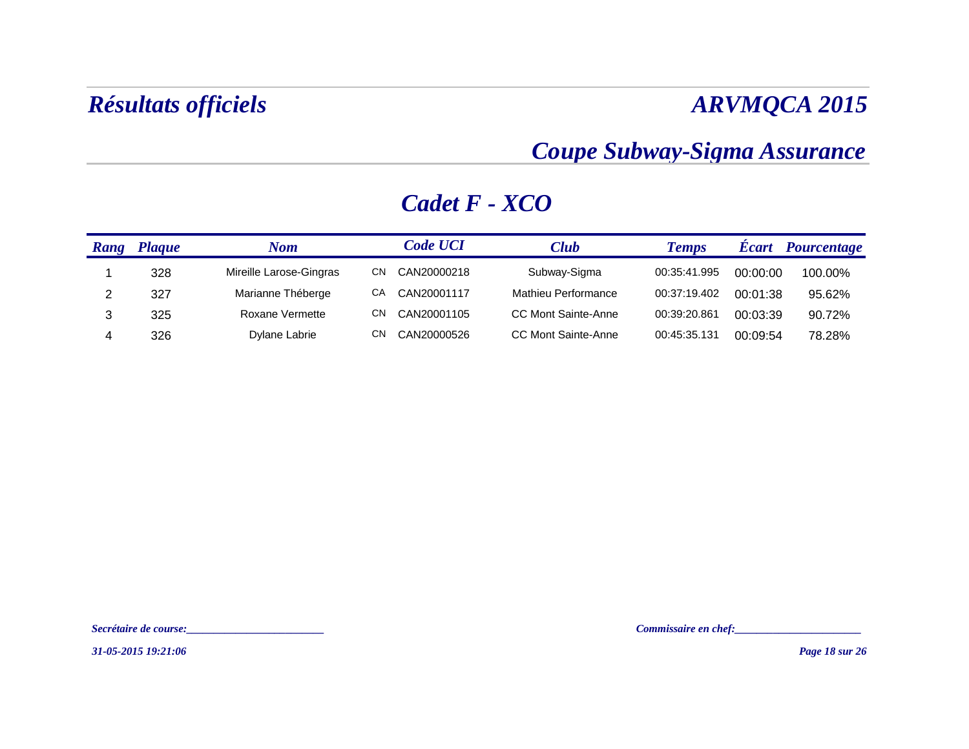### *Coupe Subway-Sigma Assurance*

| Rang | Plaque | Nom                     |    | <b>Code UCI</b> | <b>Club</b>                | <b>Temps</b> | <b>Ecart</b> | Pourcentage |
|------|--------|-------------------------|----|-----------------|----------------------------|--------------|--------------|-------------|
|      | 328    | Mireille Larose-Gingras | СN | CAN20000218     | Subway-Sigma               | 00:35:41.995 | 00:00:00     | 100.00%     |
|      | 327    | Marianne Théberge       | CА | CAN20001117     | <b>Mathieu Performance</b> | 00:37:19.402 | 00:01:38     | 95.62%      |
|      | 325    | Roxane Vermette         | СN | CAN20001105     | <b>CC Mont Sainte-Anne</b> | 00:39:20.861 | 00:03:39     | 90.72%      |
|      | 326    | Dylane Labrie           | СN | CAN20000526     | CC Mont Sainte-Anne        | 00:45:35.131 | 00:09:54     | 78.28%      |

### *Cadet F - XCO*

*Secrétaire de course:\_\_\_\_\_\_\_\_\_\_\_\_\_\_\_\_\_\_\_\_\_\_\_\_\_ Commissaire en chef:\_\_\_\_\_\_\_\_\_\_\_\_\_\_\_\_\_\_\_\_\_\_\_*

*31-05-2015 19:21:06*

*Page 18 sur 26*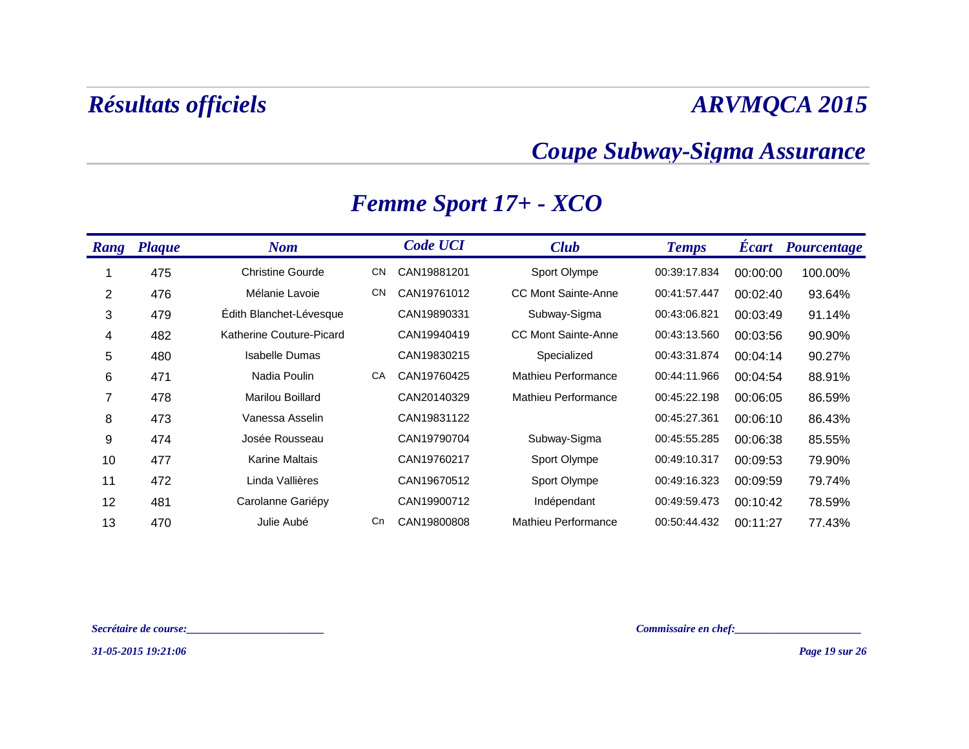### *Coupe Subway-Sigma Assurance*

| Rang           | <b>Plaque</b> | <b>Nom</b>               |           | <b>Code UCI</b> | <b>Club</b>                | <b>Temps</b> | <b>Ecart</b> | <b>Pourcentage</b> |
|----------------|---------------|--------------------------|-----------|-----------------|----------------------------|--------------|--------------|--------------------|
|                | 475           | <b>Christine Gourde</b>  | <b>CN</b> | CAN19881201     | Sport Olympe               | 00:39:17.834 | 00:00:00     | 100.00%            |
| $\overline{2}$ | 476           | Mélanie Lavoie           | <b>CN</b> | CAN19761012     | <b>CC Mont Sainte-Anne</b> | 00:41:57.447 | 00:02:40     | 93.64%             |
| 3              | 479           | Édith Blanchet-Lévesque  |           | CAN19890331     | Subway-Sigma               | 00:43:06.821 | 00:03:49     | 91.14%             |
| 4              | 482           | Katherine Couture-Picard |           | CAN19940419     | <b>CC Mont Sainte-Anne</b> | 00:43:13.560 | 00:03:56     | 90.90%             |
| 5              | 480           | <b>Isabelle Dumas</b>    |           | CAN19830215     | Specialized                | 00:43:31.874 | 00:04:14     | 90.27%             |
| 6              | 471           | Nadia Poulin             | CA        | CAN19760425     | Mathieu Performance        | 00:44:11.966 | 00:04:54     | 88.91%             |
| 7              | 478           | <b>Marilou Boillard</b>  |           | CAN20140329     | Mathieu Performance        | 00:45:22.198 | 00:06:05     | 86.59%             |
| 8              | 473           | Vanessa Asselin          |           | CAN19831122     |                            | 00:45:27.361 | 00:06:10     | 86.43%             |
| 9              | 474           | Josée Rousseau           |           | CAN19790704     | Subway-Sigma               | 00:45:55.285 | 00:06:38     | 85.55%             |
| 10             | 477           | <b>Karine Maltais</b>    |           | CAN19760217     | Sport Olympe               | 00:49:10.317 | 00:09:53     | 79.90%             |
| 11             | 472           | Linda Vallières          |           | CAN19670512     | Sport Olympe               | 00:49:16.323 | 00:09:59     | 79.74%             |
| 12             | 481           | Carolanne Gariépy        |           | CAN19900712     | Indépendant                | 00:49:59.473 | 00:10:42     | 78.59%             |
| 13             | 470           | Julie Aubé               | Cn        | CAN19800808     | Mathieu Performance        | 00:50:44.432 | 00:11:27     | 77.43%             |

### *Femme Sport 17+ - XCO*

*Secrétaire de course:\_\_\_\_\_\_\_\_\_\_\_\_\_\_\_\_\_\_\_\_\_\_\_\_\_ Commissaire en chef:\_\_\_\_\_\_\_\_\_\_\_\_\_\_\_\_\_\_\_\_\_\_\_*

*31-05-2015 19:21:06*

*Page 19 sur 26*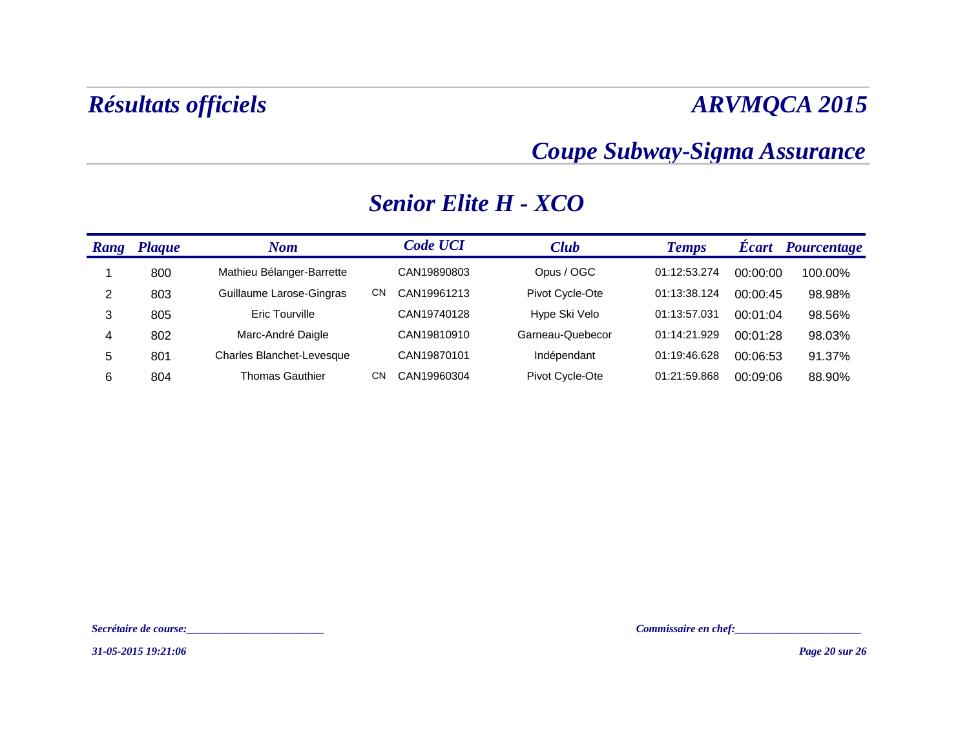### *Coupe Subway-Sigma Assurance*

### *Rang Plaque Nom Code UCI**Club**Temps**Écart**Pourcentage* 1 800 Mathieu Bélanger-Barrette CAN19890803 Opus / OGC 01:12:53.274 00:00:00 100.00% 2 803 Guillaume Larose-Gingras CN CAN19961213 Pivot Cycle-Ote 01:13:38.124 00:00:45 98.98% 3 805 Eric Tourville CAN19740128 Hype Ski Velo 01:13:57.031 00:01:04 98.56% 4 802 Marc-André Daigle CAN19810910 Garneau-Quebecor 01:14:21.929 00:01:28 98.03% 5 801 Charles Blanchet-Levesque CAN19870101 Indépendant 01:19:46.628 00:06:53 91.37% 6804 Thomas Gauthier CN CAN19960304 Pivot Cycle-Ote 01:21:59.868 00:09:06 88.90%

### *Senior Elite H - XCO*

*31-05-2015 19:21:06*

*Secrétaire de course:\_\_\_\_\_\_\_\_\_\_\_\_\_\_\_\_\_\_\_\_\_\_\_\_\_ Commissaire en chef:\_\_\_\_\_\_\_\_\_\_\_\_\_\_\_\_\_\_\_\_\_\_\_*

*Page 20 sur 26*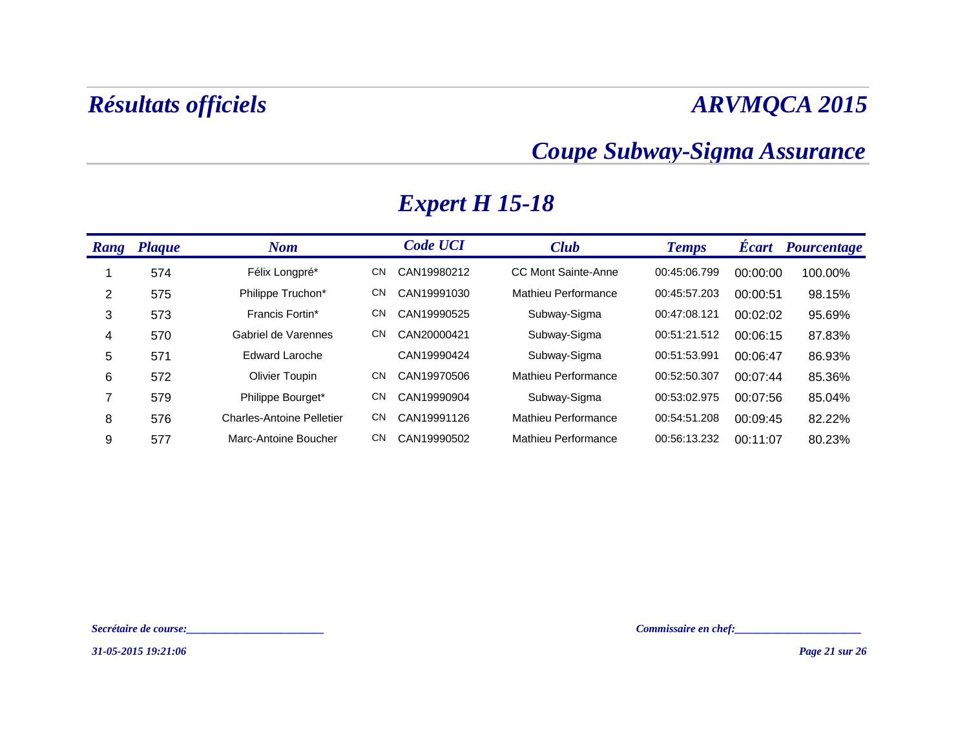### *Coupe Subway-Sigma Assurance*

| Rang | <b>Plaque</b> | <b>Nom</b>                       |     | <b>Code UCI</b> | <b>Club</b>                | <b>Temps</b> | <b>Ecart</b> | <b>Pourcentage</b> |
|------|---------------|----------------------------------|-----|-----------------|----------------------------|--------------|--------------|--------------------|
|      | 574           | Félix Longpré*                   | CN  | CAN19980212     | <b>CC Mont Sainte-Anne</b> | 00:45:06.799 | 00:00:00     | 100.00%            |
| 2    | 575           | Philippe Truchon*                | CN  | CAN19991030     | Mathieu Performance        | 00:45:57.203 | 00:00:51     | 98.15%             |
| 3    | 573           | Francis Fortin*                  | CN  | CAN19990525     | Subway-Sigma               | 00:47:08.121 | 00:02:02     | 95.69%             |
| 4    | 570           | Gabriel de Varennes              | CN. | CAN20000421     | Subway-Sigma               | 00:51:21.512 | 00:06:15     | 87.83%             |
| 5    | 571           | <b>Edward Laroche</b>            |     | CAN19990424     | Subway-Sigma               | 00:51:53.991 | 00:06:47     | 86.93%             |
| 6    | 572           | <b>Olivier Toupin</b>            | CN  | CAN19970506     | Mathieu Performance        | 00:52:50.307 | 00:07:44     | 85.36%             |
| 7    | 579           | Philippe Bourget*                | CN  | CAN19990904     | Subway-Sigma               | 00:53:02.975 | 00:07:56     | 85.04%             |
| 8    | 576           | <b>Charles-Antoine Pelletier</b> | CN. | CAN19991126     | Mathieu Performance        | 00:54:51.208 | 00:09:45     | 82.22%             |
| 9    | 577           | Marc-Antoine Boucher             | CN. | CAN19990502     | Mathieu Performance        | 00:56:13.232 | 00:11:07     | 80.23%             |

### *Expert H 15-18*

*31-05-2015 19:21:06*

*Secrétaire de course:\_\_\_\_\_\_\_\_\_\_\_\_\_\_\_\_\_\_\_\_\_\_\_\_\_ Commissaire en chef:\_\_\_\_\_\_\_\_\_\_\_\_\_\_\_\_\_\_\_\_\_\_\_*

*Page 21 sur 26*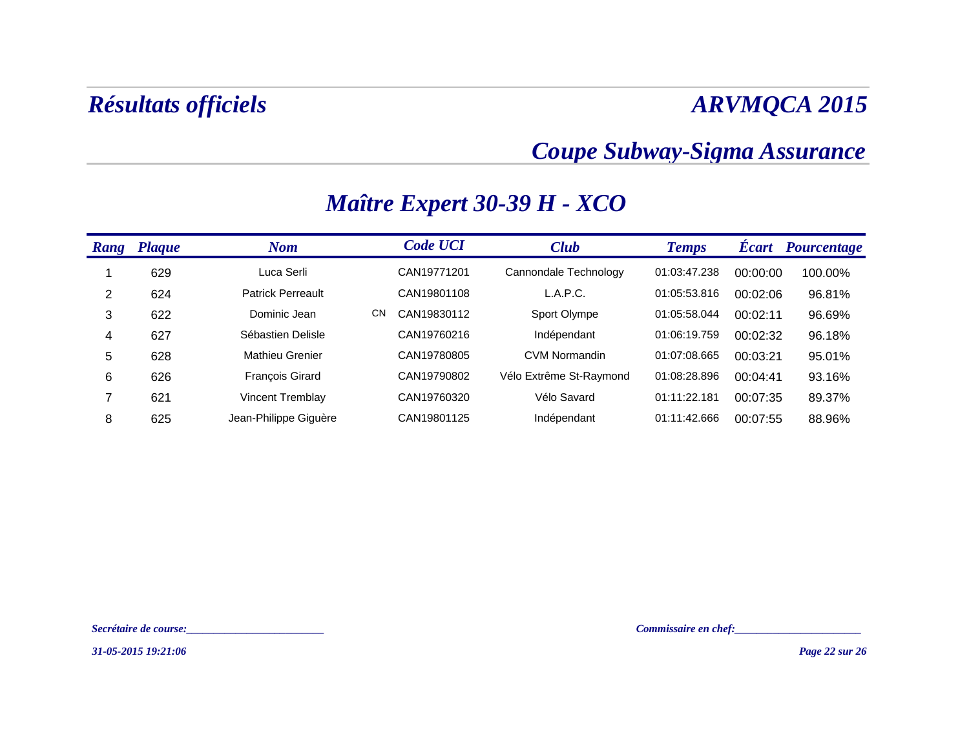### *Coupe Subway-Sigma Assurance*

| Rang | <b>Plaque</b> | <b>Nom</b>               |    | <b>Code UCI</b> | <b>Club</b>             | <b>Temps</b> | <b>Ecart</b> | <b>Pourcentage</b> |
|------|---------------|--------------------------|----|-----------------|-------------------------|--------------|--------------|--------------------|
|      | 629           | Luca Serli               |    | CAN19771201     | Cannondale Technology   | 01:03:47.238 | 00:00:00     | 100.00%            |
| 2    | 624           | <b>Patrick Perreault</b> |    | CAN19801108     | L.A.P.C.                | 01:05:53.816 | 00:02:06     | 96.81%             |
| 3    | 622           | Dominic Jean             | CN | CAN19830112     | Sport Olympe            | 01:05:58.044 | 00:02:11     | 96.69%             |
| 4    | 627           | Sébastien Delisle        |    | CAN19760216     | Indépendant             | 01:06:19.759 | 00:02:32     | 96.18%             |
| 5    | 628           | <b>Mathieu Grenier</b>   |    | CAN19780805     | <b>CVM Normandin</b>    | 01:07:08.665 | 00:03:21     | 95.01%             |
| 6    | 626           | <b>François Girard</b>   |    | CAN19790802     | Vélo Extrême St-Raymond | 01:08:28.896 | 00:04:41     | 93.16%             |
|      | 621           | <b>Vincent Tremblay</b>  |    | CAN19760320     | Vélo Savard             | 01:11:22.181 | 00:07:35     | 89.37%             |
| 8    | 625           | Jean-Philippe Giguère    |    | CAN19801125     | Indépendant             | 01:11:42.666 | 00:07:55     | 88.96%             |

### *Maître Expert 30-39 H - XCO*

*Secrétaire de course:\_\_\_\_\_\_\_\_\_\_\_\_\_\_\_\_\_\_\_\_\_\_\_\_\_ Commissaire en chef:\_\_\_\_\_\_\_\_\_\_\_\_\_\_\_\_\_\_\_\_\_\_\_*

*31-05-2015 19:21:06*

*Page 22 sur 26*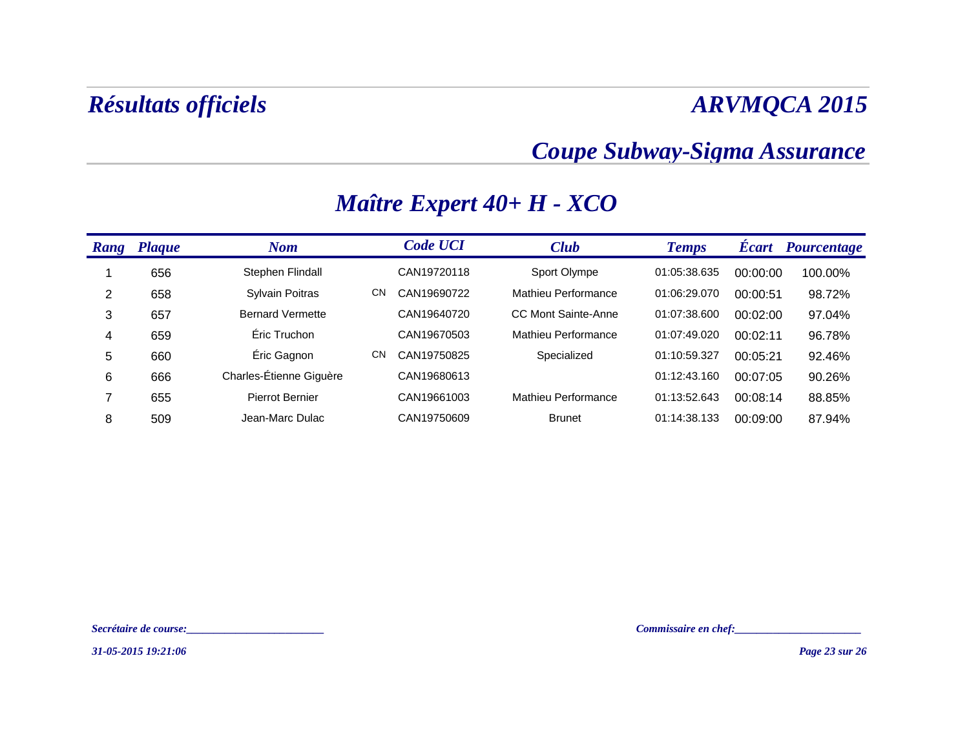### *Coupe Subway-Sigma Assurance*

| Rang | <b>Plaque</b> | <b>Nom</b>              |           | <b>Code UCI</b> | <b>Club</b>         | <b>Temps</b> | <b>Écart</b> | <b>Pourcentage</b> |
|------|---------------|-------------------------|-----------|-----------------|---------------------|--------------|--------------|--------------------|
|      | 656           | Stephen Flindall        |           | CAN19720118     | Sport Olympe        | 01:05:38.635 | 00:00:00     | 100.00%            |
| 2    | 658           | Sylvain Poitras         | <b>CN</b> | CAN19690722     | Mathieu Performance | 01:06:29.070 | 00:00:51     | 98.72%             |
| 3    | 657           | <b>Bernard Vermette</b> |           | CAN19640720     | CC Mont Sainte-Anne | 01:07:38.600 | 00:02:00     | 97.04%             |
| 4    | 659           | Éric Truchon            |           | CAN19670503     | Mathieu Performance | 01:07:49.020 | 00:02:11     | 96.78%             |
| 5    | 660           | Éric Gagnon             | <b>CN</b> | CAN19750825     | Specialized         | 01:10:59.327 | 00:05:21     | 92.46%             |
| 6    | 666           | Charles-Étienne Giguère |           | CAN19680613     |                     | 01:12:43.160 | 00:07:05     | 90.26%             |
| 7    | 655           | Pierrot Bernier         |           | CAN19661003     | Mathieu Performance | 01:13:52.643 | 00:08:14     | 88.85%             |
| 8    | 509           | Jean-Marc Dulac         |           | CAN19750609     | <b>Brunet</b>       | 01:14:38.133 | 00:09:00     | 87.94%             |

### *Maître Expert 40+ H - XCO*

*Secrétaire de course:\_\_\_\_\_\_\_\_\_\_\_\_\_\_\_\_\_\_\_\_\_\_\_\_\_ Commissaire en chef:\_\_\_\_\_\_\_\_\_\_\_\_\_\_\_\_\_\_\_\_\_\_\_*

*31-05-2015 19:21:06*

*Page 23 sur 26*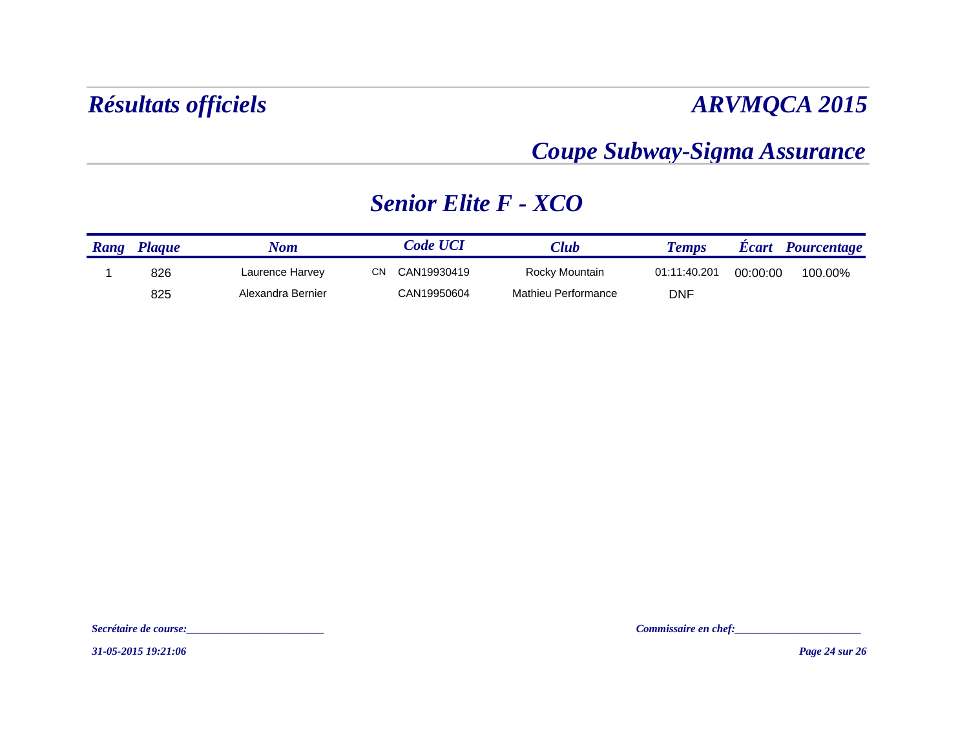### *Coupe Subway-Sigma Assurance*

### *Senior Elite F - XCO*

| Rang | <b>Plaque</b> | Nom               | <i><b>Code UCI</b></i> | $7$ lub             | <b>Temps</b> | <b>Ecart</b> | <b>Pourcentage</b> |
|------|---------------|-------------------|------------------------|---------------------|--------------|--------------|--------------------|
|      | 826           | Laurence Harvey   | СN<br>CAN19930419      | Rocky Mountain      | 01:11:40.201 | 00:00:00     | 100.00%            |
|      | 825           | Alexandra Bernier | CAN19950604            | Mathieu Performance | DNF          |              |                    |

*Secrétaire de course:\_\_\_\_\_\_\_\_\_\_\_\_\_\_\_\_\_\_\_\_\_\_\_\_\_ Commissaire en chef:\_\_\_\_\_\_\_\_\_\_\_\_\_\_\_\_\_\_\_\_\_\_\_*

*31-05-2015 19:21:06*

*Page 24 sur 26*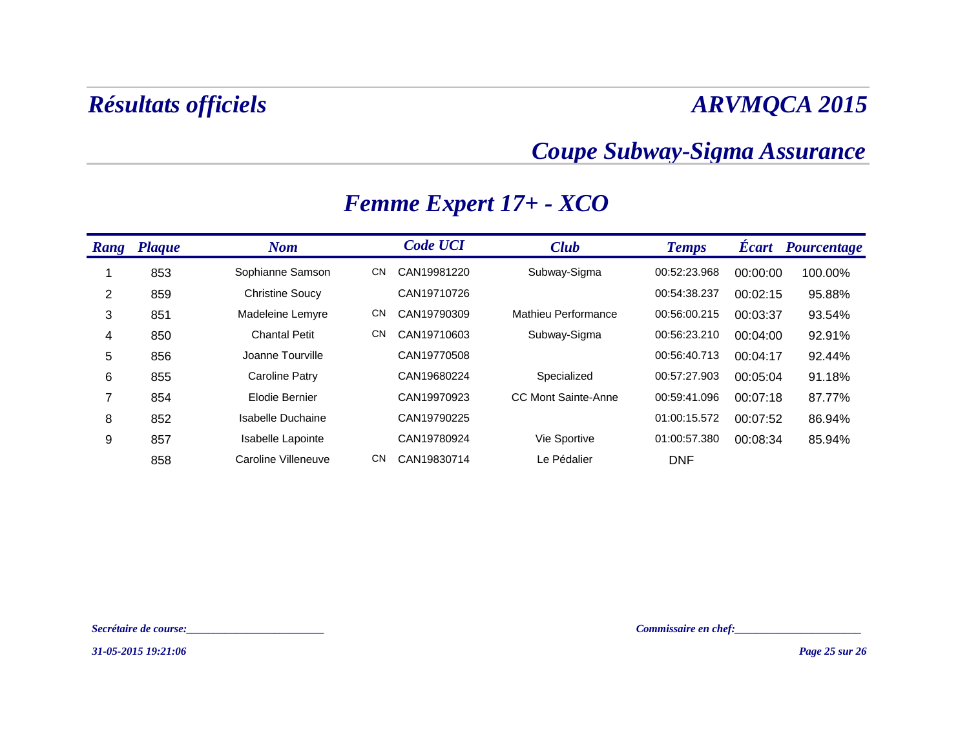### *Coupe Subway-Sigma Assurance*

| Rang | <b>Plaque</b> | <b>Nom</b>             |           | <b>Code UCI</b> | <b>Club</b>                | <b>Temps</b> | <b>Écart</b> | <b>Pourcentage</b> |
|------|---------------|------------------------|-----------|-----------------|----------------------------|--------------|--------------|--------------------|
|      | 853           | Sophianne Samson       | <b>CN</b> | CAN19981220     | Subway-Sigma               | 00:52:23.968 | 00:00:00     | 100.00%            |
| 2    | 859           | <b>Christine Soucy</b> |           | CAN19710726     |                            | 00:54:38.237 | 00:02:15     | 95.88%             |
| 3    | 851           | Madeleine Lemyre       | <b>CN</b> | CAN19790309     | Mathieu Performance        | 00:56:00.215 | 00:03:37     | 93.54%             |
| 4    | 850           | <b>Chantal Petit</b>   | <b>CN</b> | CAN19710603     | Subway-Sigma               | 00:56:23.210 | 00:04:00     | 92.91%             |
| 5    | 856           | Joanne Tourville       |           | CAN19770508     |                            | 00:56:40.713 | 00:04:17     | 92.44%             |
| 6    | 855           | <b>Caroline Patry</b>  |           | CAN19680224     | Specialized                | 00:57:27.903 | 00:05:04     | 91.18%             |
| 7    | 854           | Elodie Bernier         |           | CAN19970923     | <b>CC Mont Sainte-Anne</b> | 00:59:41.096 | 00:07:18     | 87.77%             |
| 8    | 852           | Isabelle Duchaine      |           | CAN19790225     |                            | 01:00:15.572 | 00:07:52     | 86.94%             |
| 9    | 857           | Isabelle Lapointe      |           | CAN19780924     | Vie Sportive               | 01:00:57.380 | 00:08:34     | 85.94%             |
|      | 858           | Caroline Villeneuve    | <b>CN</b> | CAN19830714     | Le Pédalier                | <b>DNF</b>   |              |                    |

### *Femme Expert 17+ - XCO*

*Secrétaire de course:\_\_\_\_\_\_\_\_\_\_\_\_\_\_\_\_\_\_\_\_\_\_\_\_\_ Commissaire en chef:\_\_\_\_\_\_\_\_\_\_\_\_\_\_\_\_\_\_\_\_\_\_\_*

*31-05-2015 19:21:06*

*Page 25 sur 26*